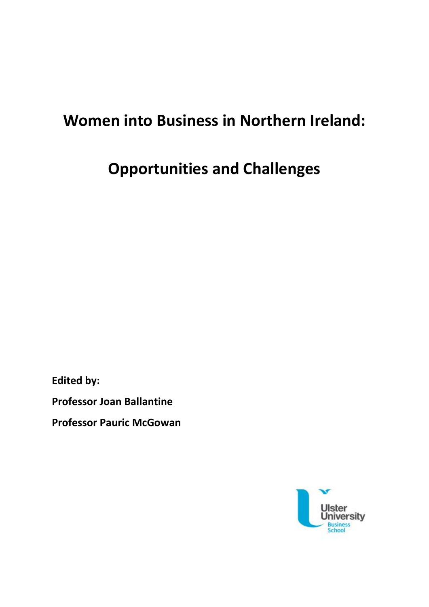# **Women into Business in Northern Ireland:**

**Opportunities and Challenges**

**Edited by:**

**Professor Joan Ballantine**

**Professor Pauric McGowan**

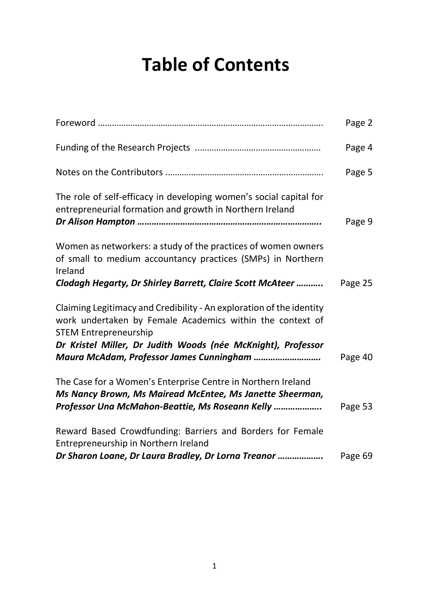# **Table of Contents**

|                                                                                                                                                                             | Page 2  |
|-----------------------------------------------------------------------------------------------------------------------------------------------------------------------------|---------|
|                                                                                                                                                                             | Page 4  |
|                                                                                                                                                                             | Page 5  |
| The role of self-efficacy in developing women's social capital for<br>entrepreneurial formation and growth in Northern Ireland                                              | Page 9  |
| Women as networkers: a study of the practices of women owners<br>of small to medium accountancy practices (SMPs) in Northern<br>Ireland                                     |         |
| Clodagh Hegarty, Dr Shirley Barrett, Claire Scott McAteer                                                                                                                   | Page 25 |
| Claiming Legitimacy and Credibility - An exploration of the identity<br>work undertaken by Female Academics within the context of<br><b>STEM Entrepreneurship</b>           |         |
| Dr Kristel Miller, Dr Judith Woods (née McKnight), Professor<br>Maura McAdam, Professor James Cunningham                                                                    | Page 40 |
| The Case for a Women's Enterprise Centre in Northern Ireland<br>Ms Nancy Brown, Ms Mairead McEntee, Ms Janette Sheerman,<br>Professor Una McMahon-Beattie, Ms Roseann Kelly | Page 53 |
| Reward Based Crowdfunding: Barriers and Borders for Female<br>Entrepreneurship in Northern Ireland                                                                          |         |
| Dr Sharon Loane, Dr Laura Bradley, Dr Lorna Treanor                                                                                                                         | Page 69 |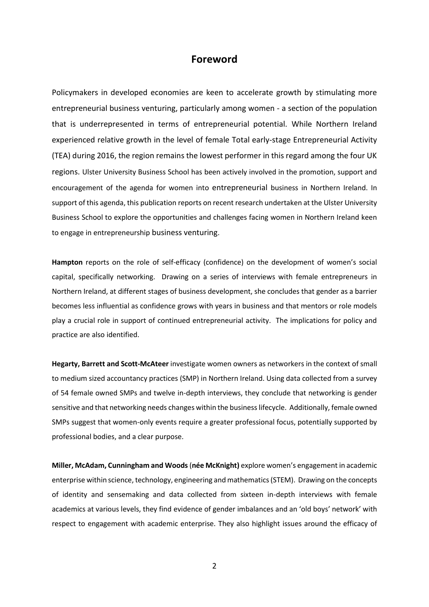#### **Foreword**

Policymakers in developed economies are keen to accelerate growth by stimulating more entrepreneurial business venturing, particularly among women - a section of the population that is underrepresented in terms of entrepreneurial potential. While Northern Ireland experienced relative growth in the level of female Total early-stage Entrepreneurial Activity (TEA) during 2016, the region remains the lowest performer in this regard among the four UK regions. Ulster University Business School has been actively involved in the promotion, support and encouragement of the agenda for women into entrepreneurial business in Northern Ireland. In support of this agenda, this publication reports on recent research undertaken at the Ulster University Business School to explore the opportunities and challenges facing women in Northern Ireland keen to engage in entrepreneurship business venturing.

**Hampton** reports on the role of self-efficacy (confidence) on the development of women's social capital, specifically networking. Drawing on a series of interviews with female entrepreneurs in Northern Ireland, at different stages of business development, she concludes that gender as a barrier becomes less influential as confidence grows with years in business and that mentors or role models play a crucial role in support of continued entrepreneurial activity. The implications for policy and practice are also identified.

**Hegarty, Barrett and Scott-McAteer** investigate women owners as networkers in the context of small to medium sized accountancy practices (SMP) in Northern Ireland. Using data collected from a survey of 54 female owned SMPs and twelve in-depth interviews, they conclude that networking is gender sensitive and that networking needs changes within the business lifecycle. Additionally, female owned SMPs suggest that women-only events require a greater professional focus, potentially supported by professional bodies, and a clear purpose.

**Miller, McAdam, Cunningham and Woods**(**née McKnight)** explore women's engagement in academic enterprise within science, technology, engineering and mathematics (STEM). Drawing on the concepts of identity and sensemaking and data collected from sixteen in-depth interviews with female academics at various levels, they find evidence of gender imbalances and an 'old boys' network' with respect to engagement with academic enterprise. They also highlight issues around the efficacy of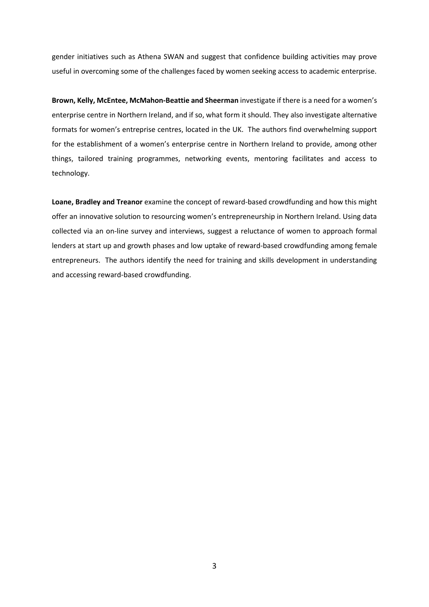gender initiatives such as Athena SWAN and suggest that confidence building activities may prove useful in overcoming some of the challenges faced by women seeking access to academic enterprise.

**Brown, Kelly, McEntee, McMahon-Beattie and Sheerman** investigate if there is a need for a women's enterprise centre in Northern Ireland, and if so, what form it should. They also investigate alternative formats for women's entreprise centres, located in the UK. The authors find overwhelming support for the establishment of a women's enterprise centre in Northern Ireland to provide, among other things, tailored training programmes, networking events, mentoring facilitates and access to technology.

**Loane, Bradley and Treanor** examine the concept of reward-based crowdfunding and how this might offer an innovative solution to resourcing women's entrepreneurship in Northern Ireland. Using data collected via an on-line survey and interviews, suggest a reluctance of women to approach formal lenders at start up and growth phases and low uptake of reward-based crowdfunding among female entrepreneurs. The authors identify the need for training and skills development in understanding and accessing reward-based crowdfunding.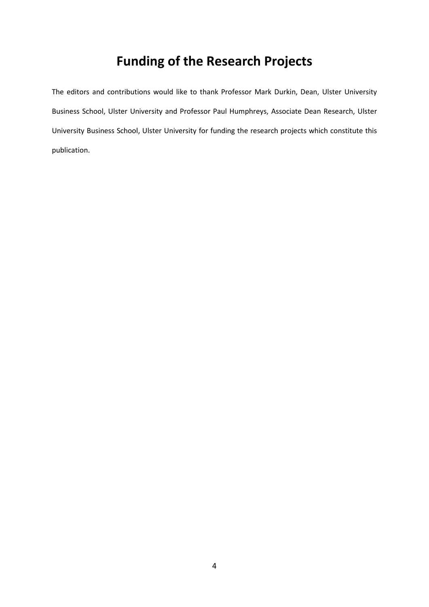# **Funding of the Research Projects**

The editors and contributions would like to thank Professor Mark Durkin, Dean, Ulster University Business School, Ulster University and Professor Paul Humphreys, Associate Dean Research, Ulster University Business School, Ulster University for funding the research projects which constitute this publication.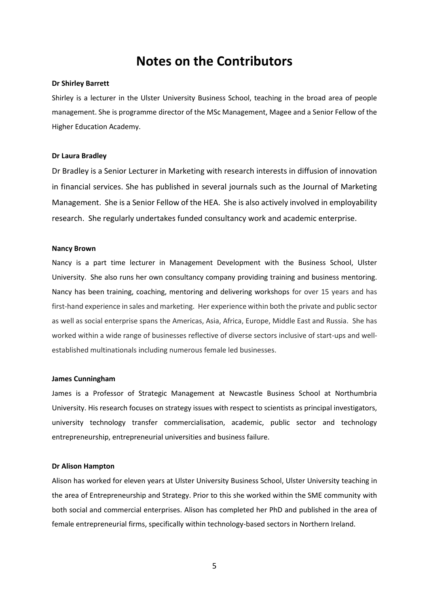## **Notes on the Contributors**

#### **Dr Shirley Barrett**

Shirley is a lecturer in the Ulster University Business School, teaching in the broad area of people management. She is programme director of the MSc Management, Magee and a Senior Fellow of the Higher Education Academy.

#### **Dr Laura Bradley**

Dr Bradley is a Senior Lecturer in Marketing with research interests in diffusion of innovation in financial services. She has published in several journals such as the Journal of Marketing Management. She is a Senior Fellow of the HEA. She is also actively involved in employability research. She regularly undertakes funded consultancy work and academic enterprise.

#### **Nancy Brown**

Nancy is a part time lecturer in Management Development with the Business School, Ulster University. She also runs her own consultancy company providing training and business mentoring. Nancy has been training, coaching, mentoring and delivering workshops for over 15 years and has first-hand experience in sales and marketing. Her experience within both the private and public sector as well as social enterprise spans the Americas, Asia, Africa, Europe, Middle East and Russia. She has worked within a wide range of businesses reflective of diverse sectors inclusive of start-ups and wellestablished multinationals including numerous female led businesses.

#### **James Cunningham**

James is a Professor of Strategic Management at Newcastle Business School at Northumbria University. His research focuses on strategy issues with respect to scientists as principal investigators, university technology transfer commercialisation, academic, public sector and technology entrepreneurship, entrepreneurial universities and business failure.

#### **Dr Alison Hampton**

Alison has worked for eleven years at Ulster University Business School, Ulster University teaching in the area of Entrepreneurship and Strategy. Prior to this she worked within the SME community with both social and commercial enterprises. Alison has completed her PhD and published in the area of female entrepreneurial firms, specifically within technology-based sectors in Northern Ireland.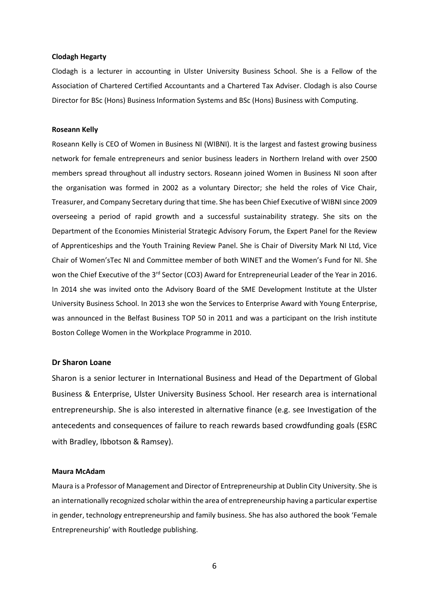#### **Clodagh Hegarty**

Clodagh is a lecturer in accounting in Ulster University Business School. She is a Fellow of the Association of Chartered Certified Accountants and a Chartered Tax Adviser. Clodagh is also Course Director for BSc (Hons) Business Information Systems and BSc (Hons) Business with Computing.

#### **Roseann Kelly**

Roseann Kelly is CEO of Women in Business NI (WIBNI). It is the largest and fastest growing business network for female entrepreneurs and senior business leaders in Northern Ireland with over 2500 members spread throughout all industry sectors. Roseann joined Women in Business NI soon after the organisation was formed in 2002 as a voluntary Director; she held the roles of Vice Chair, Treasurer, and Company Secretary during that time. She has been Chief Executive of WIBNI since 2009 overseeing a period of rapid growth and a successful sustainability strategy. She sits on the Department of the Economies Ministerial Strategic Advisory Forum, the Expert Panel for the Review of Apprenticeships and the Youth Training Review Panel. She is Chair of Diversity Mark NI Ltd, Vice Chair of Women'sTec NI and Committee member of both WINET and the Women's Fund for NI. She won the Chief Executive of the 3<sup>rd</sup> Sector (CO3) Award for Entrepreneurial Leader of the Year in 2016. In 2014 she was invited onto the Advisory Board of the SME Development Institute at the Ulster University Business School. In 2013 she won the Services to Enterprise Award with Young Enterprise, was announced in the Belfast Business TOP 50 in 2011 and was a participant on the Irish institute Boston College Women in the Workplace Programme in 2010.

#### **Dr Sharon Loane**

Sharon is a senior lecturer in International Business and Head of the Department of Global Business & Enterprise, Ulster University Business School. Her research area is international entrepreneurship. She is also interested in alternative finance (e.g. see Investigation of the antecedents and consequences of failure to reach rewards based crowdfunding goals (ESRC with Bradley, Ibbotson & Ramsey).

#### **Maura McAdam**

Maura is a Professor of Management and Director of Entrepreneurship at Dublin City University. She is an internationally recognized scholar within the area of entrepreneurship having a particular expertise in gender, technology entrepreneurship and family business. She has also authored the book 'Female Entrepreneurship' with Routledge publishing.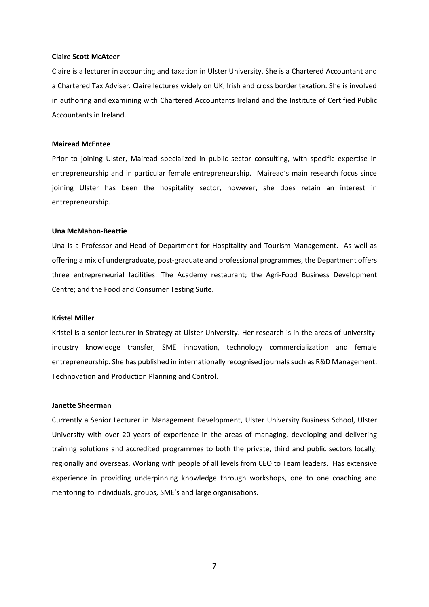#### **Claire Scott McAteer**

Claire is a lecturer in accounting and taxation in Ulster University. She is a Chartered Accountant and a Chartered Tax Adviser. Claire lectures widely on UK, Irish and cross border taxation. She is involved in authoring and examining with Chartered Accountants Ireland and the Institute of Certified Public Accountants in Ireland.

#### **Mairead McEntee**

Prior to joining Ulster, Mairead specialized in public sector consulting, with specific expertise in entrepreneurship and in particular female entrepreneurship. Mairead's main research focus since joining Ulster has been the hospitality sector, however, she does retain an interest in entrepreneurship.

#### **Una McMahon-Beattie**

Una is a Professor and Head of Department for Hospitality and Tourism Management. As well as offering a mix of undergraduate, post-graduate and professional programmes, the Department offers three entrepreneurial facilities: The Academy restaurant; the Agri-Food Business Development Centre; and the Food and Consumer Testing Suite.

#### **Kristel Miller**

Kristel is a senior lecturer in Strategy at Ulster University. Her research is in the areas of universityindustry knowledge transfer, SME innovation, technology commercialization and female entrepreneurship. She has published in internationally recognised journals such as R&D Management, Technovation and Production Planning and Control.

#### **Janette Sheerman**

Currently a Senior Lecturer in Management Development, Ulster University Business School, Ulster University with over 20 years of experience in the areas of managing, developing and delivering training solutions and accredited programmes to both the private, third and public sectors locally, regionally and overseas. Working with people of all levels from CEO to Team leaders. Has extensive experience in providing underpinning knowledge through workshops, one to one coaching and mentoring to individuals, groups, SME's and large organisations.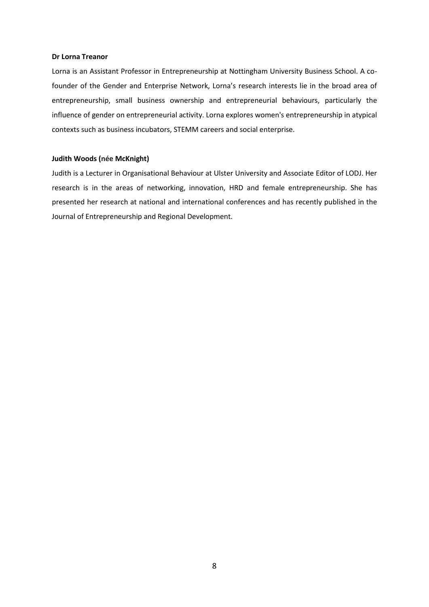#### **Dr Lorna Treanor**

Lorna is an Assistant Professor in Entrepreneurship at Nottingham University Business School. A cofounder of the Gender and Enterprise Network, Lorna's research interests lie in the broad area of entrepreneurship, small business ownership and entrepreneurial behaviours, particularly the influence of gender on entrepreneurial activity. Lorna explores women's entrepreneurship in atypical contexts such as business incubators, STEMM careers and social enterprise.

#### **Judith Woods (née McKnight)**

Judith is a Lecturer in Organisational Behaviour at Ulster University and Associate Editor of LODJ. Her research is in the areas of networking, innovation, HRD and female entrepreneurship. She has presented her research at national and international conferences and has recently published in the Journal of Entrepreneurship and Regional Development.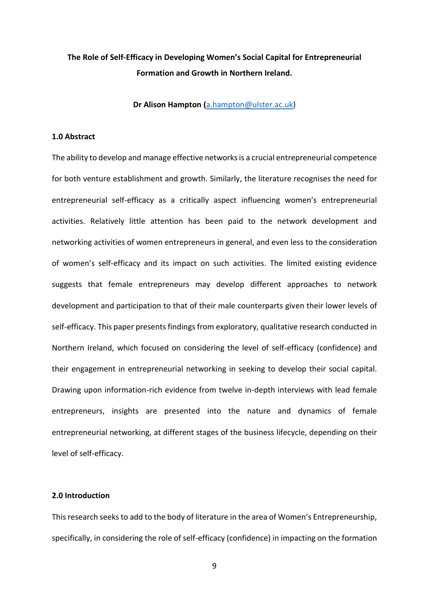### **The Role of Self-Efficacy in Developing Women's Social Capital for Entrepreneurial Formation and Growth in Northern Ireland.**

**Dr Alison Hampton (**[a.hampton@ulster.ac.uk\)](mailto:a.hampton@ulster.ac.uk)

#### **1.0 Abstract**

The ability to develop and manage effective networks is a crucial entrepreneurial competence for both venture establishment and growth. Similarly, the literature recognises the need for entrepreneurial self-efficacy as a critically aspect influencing women's entrepreneurial activities. Relatively little attention has been paid to the network development and networking activities of women entrepreneurs in general, and even less to the consideration of women's self-efficacy and its impact on such activities. The limited existing evidence suggests that female entrepreneurs may develop different approaches to network development and participation to that of their male counterparts given their lower levels of self-efficacy. This paper presents findings from exploratory, qualitative research conducted in Northern Ireland, which focused on considering the level of self-efficacy (confidence) and their engagement in entrepreneurial networking in seeking to develop their social capital. Drawing upon information-rich evidence from twelve in-depth interviews with lead female entrepreneurs, insights are presented into the nature and dynamics of female entrepreneurial networking, at different stages of the business lifecycle, depending on their level of self-efficacy.

#### **2.0 Introduction**

This research seeks to add to the body of literature in the area of Women's Entrepreneurship, specifically, in considering the role of self-efficacy (confidence) in impacting on the formation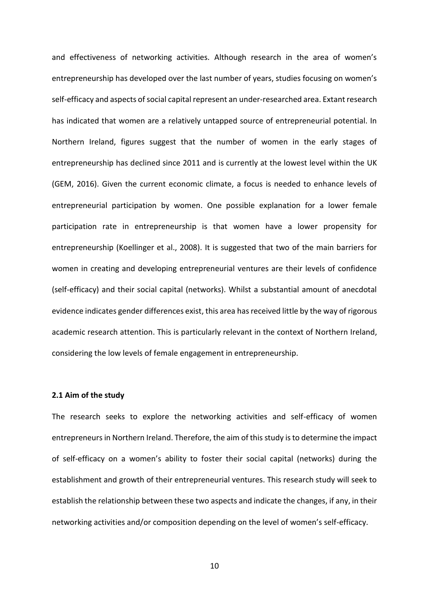and effectiveness of networking activities. Although research in the area of women's entrepreneurship has developed over the last number of years, studies focusing on women's self-efficacy and aspects of social capital represent an under-researched area. Extant research has indicated that women are a relatively untapped source of entrepreneurial potential. In Northern Ireland, figures suggest that the number of women in the early stages of entrepreneurship has declined since 2011 and is currently at the lowest level within the UK (GEM, 2016). Given the current economic climate, a focus is needed to enhance levels of entrepreneurial participation by women. One possible explanation for a lower female participation rate in entrepreneurship is that women have a lower propensity for entrepreneurship (Koellinger et al., 2008). It is suggested that two of the main barriers for women in creating and developing entrepreneurial ventures are their levels of confidence (self-efficacy) and their social capital (networks). Whilst a substantial amount of anecdotal evidence indicates gender differences exist, this area has received little by the way of rigorous academic research attention. This is particularly relevant in the context of Northern Ireland, considering the low levels of female engagement in entrepreneurship.

#### **2.1 Aim of the study**

The research seeks to explore the networking activities and self-efficacy of women entrepreneurs in Northern Ireland. Therefore, the aim of this study is to determine the impact of self-efficacy on a women's ability to foster their social capital (networks) during the establishment and growth of their entrepreneurial ventures. This research study will seek to establish the relationship between these two aspects and indicate the changes, if any, in their networking activities and/or composition depending on the level of women's self-efficacy.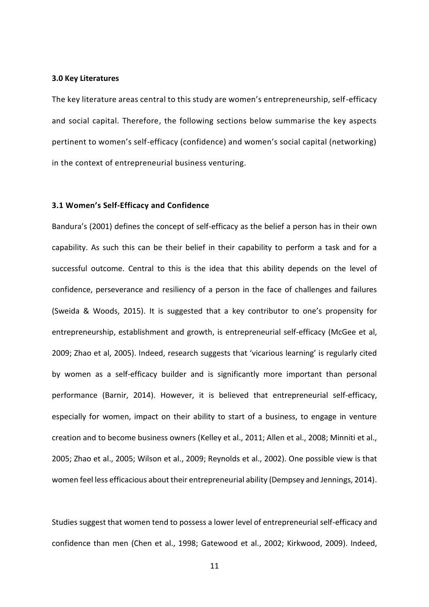#### **3.0 Key Literatures**

The key literature areas central to this study are women's entrepreneurship, self-efficacy and social capital. Therefore, the following sections below summarise the key aspects pertinent to women's self-efficacy (confidence) and women's social capital (networking) in the context of entrepreneurial business venturing.

#### **3.1 Women's Self-Efficacy and Confidence**

Bandura's (2001) defines the concept of self-efficacy as the belief a person has in their own capability. As such this can be their belief in their capability to perform a task and for a successful outcome. Central to this is the idea that this ability depends on the level of confidence, perseverance and resiliency of a person in the face of challenges and failures (Sweida & Woods, 2015). It is suggested that a key contributor to one's propensity for entrepreneurship, establishment and growth, is entrepreneurial self-efficacy (McGee et al, 2009; Zhao et al, 2005). Indeed, research suggests that 'vicarious learning' is regularly cited by women as a self-efficacy builder and is significantly more important than personal performance (Barnir, 2014). However, it is believed that entrepreneurial self-efficacy, especially for women, impact on their ability to start of a business, to engage in venture creation and to become business owners (Kelley et al., 2011; Allen et al., 2008; Minniti et al., 2005; Zhao et al., 2005; Wilson et al., 2009; Reynolds et al., 2002). One possible view is that women feel less efficacious about their entrepreneurial ability (Dempsey and Jennings, 2014).

Studies suggest that women tend to possess a lower level of entrepreneurial self-efficacy and confidence than men (Chen et al., 1998; Gatewood et al., 2002; Kirkwood, 2009). Indeed,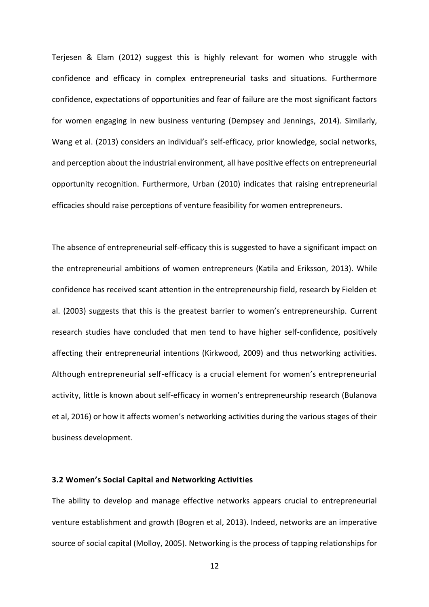Terjesen & Elam (2012) suggest this is highly relevant for women who struggle with confidence and efficacy in complex entrepreneurial tasks and situations. Furthermore confidence, expectations of opportunities and fear of failure are the most significant factors for women engaging in new business venturing (Dempsey and Jennings, 2014). Similarly, Wang et al. (2013) considers an individual's self-efficacy, prior knowledge, social networks, and perception about the industrial environment, all have positive effects on entrepreneurial opportunity recognition. Furthermore, Urban (2010) indicates that raising entrepreneurial efficacies should raise perceptions of venture feasibility for women entrepreneurs.

The absence of entrepreneurial self-efficacy this is suggested to have a significant impact on the entrepreneurial ambitions of women entrepreneurs (Katila and Eriksson, 2013). While confidence has received scant attention in the entrepreneurship field, research by Fielden et al. (2003) suggests that this is the greatest barrier to women's entrepreneurship. Current research studies have concluded that men tend to have higher self-confidence, positively affecting their entrepreneurial intentions (Kirkwood, 2009) and thus networking activities. Although entrepreneurial self-efficacy is a crucial element for women's entrepreneurial activity, little is known about self-efficacy in women's entrepreneurship research (Bulanova et al, 2016) or how it affects women's networking activities during the various stages of their business development.

#### **3.2 Women's Social Capital and Networking Activities**

The ability to develop and manage effective networks appears crucial to entrepreneurial venture establishment and growth (Bogren et al, 2013). Indeed, networks are an imperative source of social capital (Molloy, 2005). Networking is the process of tapping relationships for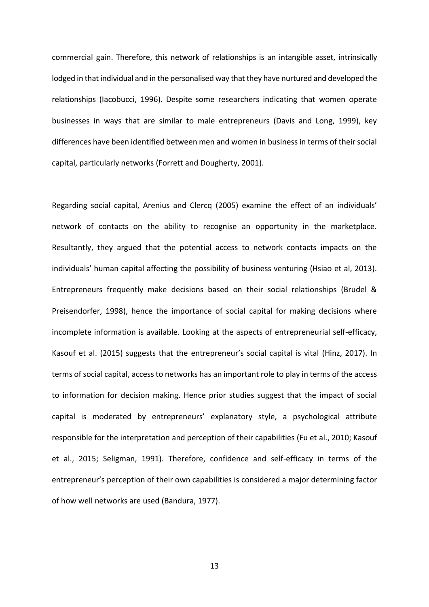commercial gain. Therefore, this network of relationships is an intangible asset, intrinsically lodged in that individual and in the personalised way that they have nurtured and developed the relationships (Iacobucci, 1996). Despite some researchers indicating that women operate businesses in ways that are similar to male entrepreneurs (Davis and Long, 1999), key differences have been identified between men and women in business in terms of their social capital, particularly networks (Forrett and Dougherty, 2001).

Regarding social capital, Arenius and Clercq (2005) examine the effect of an individuals' network of contacts on the ability to recognise an opportunity in the marketplace. Resultantly, they argued that the potential access to network contacts impacts on the individuals' human capital affecting the possibility of business venturing (Hsiao et al, 2013). Entrepreneurs frequently make decisions based on their social relationships (Brudel & Preisendorfer, 1998), hence the importance of social capital for making decisions where incomplete information is available. Looking at the aspects of entrepreneurial self-efficacy, Kasouf et al. (2015) suggests that the entrepreneur's social capital is vital (Hinz, 2017). In terms of social capital, access to networks has an important role to play in terms of the access to information for decision making. Hence prior studies suggest that the impact of social capital is moderated by entrepreneurs' explanatory style, a psychological attribute responsible for the interpretation and perception of their capabilities (Fu et al., 2010; Kasouf et al., 2015; Seligman, 1991). Therefore, confidence and self-efficacy in terms of the entrepreneur's perception of their own capabilities is considered a major determining factor of how well networks are used (Bandura, 1977).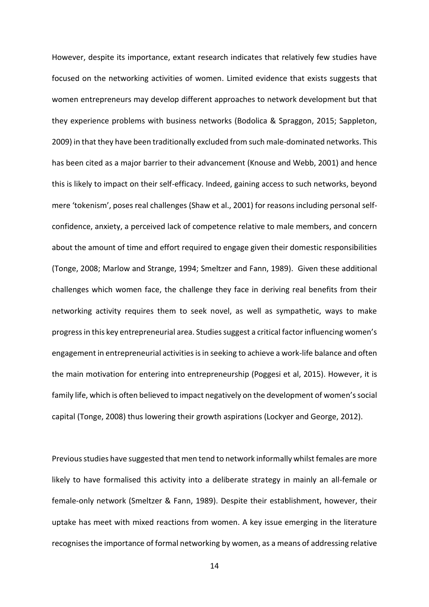However, despite its importance, extant research indicates that relatively few studies have focused on the networking activities of women. Limited evidence that exists suggests that women entrepreneurs may develop different approaches to network development but that they experience problems with business networks (Bodolica & Spraggon, 2015; Sappleton, 2009) in that they have been traditionally excluded from such male-dominated networks. This has been cited as a major barrier to their advancement (Knouse and Webb, 2001) and hence this is likely to impact on their self-efficacy. Indeed, gaining access to such networks, beyond mere 'tokenism', poses real challenges (Shaw et al., 2001) for reasons including personal selfconfidence, anxiety, a perceived lack of competence relative to male members, and concern about the amount of time and effort required to engage given their domestic responsibilities (Tonge, 2008; Marlow and Strange, 1994; Smeltzer and Fann, 1989). Given these additional challenges which women face, the challenge they face in deriving real benefits from their networking activity requires them to seek novel, as well as sympathetic, ways to make progress in this key entrepreneurial area. Studies suggest a critical factor influencing women's engagement in entrepreneurial activities is in seeking to achieve a work-life balance and often the main motivation for entering into entrepreneurship (Poggesi et al, 2015). However, it is family life, which is often believed to impact negatively on the development of women's social capital (Tonge, 2008) thus lowering their growth aspirations (Lockyer and George, 2012).

Previous studies have suggested that men tend to network informally whilst females are more likely to have formalised this activity into a deliberate strategy in mainly an all-female or female-only network (Smeltzer & Fann, 1989). Despite their establishment, however, their uptake has meet with mixed reactions from women. A key issue emerging in the literature recognises the importance of formal networking by women, as a means of addressing relative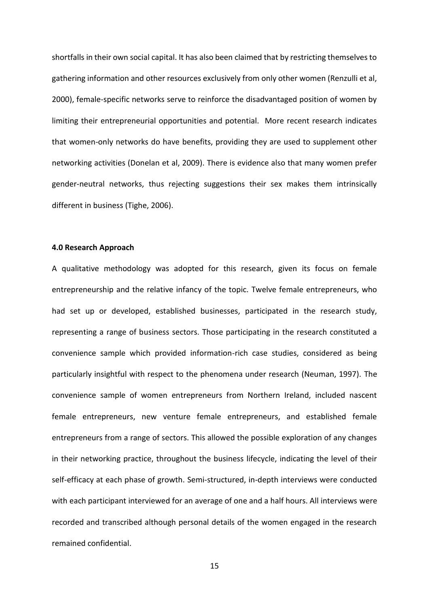shortfalls in their own social capital. It has also been claimed that by restricting themselves to gathering information and other resources exclusively from only other women (Renzulli et al, 2000), female-specific networks serve to reinforce the disadvantaged position of women by limiting their entrepreneurial opportunities and potential. More recent research indicates that women-only networks do have benefits, providing they are used to supplement other networking activities (Donelan et al, 2009). There is evidence also that many women prefer gender-neutral networks, thus rejecting suggestions their sex makes them intrinsically different in business (Tighe, 2006).

#### **4.0 Research Approach**

A qualitative methodology was adopted for this research, given its focus on female entrepreneurship and the relative infancy of the topic. Twelve female entrepreneurs, who had set up or developed, established businesses, participated in the research study, representing a range of business sectors. Those participating in the research constituted a convenience sample which provided information-rich case studies, considered as being particularly insightful with respect to the phenomena under research (Neuman, 1997). The convenience sample of women entrepreneurs from Northern Ireland, included nascent female entrepreneurs, new venture female entrepreneurs, and established female entrepreneurs from a range of sectors. This allowed the possible exploration of any changes in their networking practice, throughout the business lifecycle, indicating the level of their self-efficacy at each phase of growth. Semi-structured, in-depth interviews were conducted with each participant interviewed for an average of one and a half hours. All interviews were recorded and transcribed although personal details of the women engaged in the research remained confidential.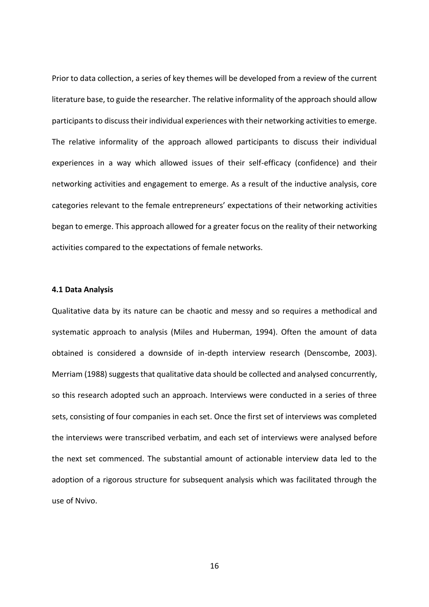Prior to data collection, a series of key themes will be developed from a review of the current literature base, to guide the researcher. The relative informality of the approach should allow participants to discuss their individual experiences with their networking activities to emerge. The relative informality of the approach allowed participants to discuss their individual experiences in a way which allowed issues of their self-efficacy (confidence) and their networking activities and engagement to emerge. As a result of the inductive analysis, core categories relevant to the female entrepreneurs' expectations of their networking activities began to emerge. This approach allowed for a greater focus on the reality of their networking activities compared to the expectations of female networks.

#### **4.1 Data Analysis**

Qualitative data by its nature can be chaotic and messy and so requires a methodical and systematic approach to analysis (Miles and Huberman, 1994). Often the amount of data obtained is considered a downside of in-depth interview research (Denscombe, 2003). Merriam (1988) suggests that qualitative data should be collected and analysed concurrently, so this research adopted such an approach. Interviews were conducted in a series of three sets, consisting of four companies in each set. Once the first set of interviews was completed the interviews were transcribed verbatim, and each set of interviews were analysed before the next set commenced. The substantial amount of actionable interview data led to the adoption of a rigorous structure for subsequent analysis which was facilitated through the use of Nvivo.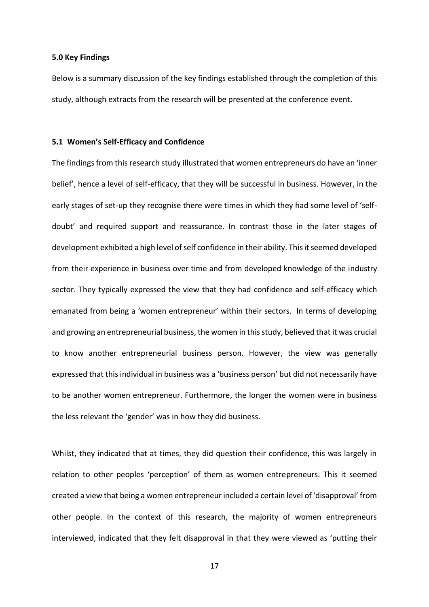#### **5.0 Key Findings**

Below is a summary discussion of the key findings established through the completion of this study, although extracts from the research will be presented at the conference event.

#### **5.1 Women's Self-Efficacy and Confidence**

The findings from this research study illustrated that women entrepreneurs do have an 'inner belief', hence a level of self-efficacy, that they will be successful in business. However, in the early stages of set-up they recognise there were times in which they had some level of 'selfdoubt' and required support and reassurance. In contrast those in the later stages of development exhibited a high level of self confidence in their ability. This it seemed developed from their experience in business over time and from developed knowledge of the industry sector. They typically expressed the view that they had confidence and self-efficacy which emanated from being a 'women entrepreneur' within their sectors. In terms of developing and growing an entrepreneurial business, the women in this study, believed that it was crucial to know another entrepreneurial business person. However, the view was generally expressed that this individual in business was a 'business person' but did not necessarily have to be another women entrepreneur. Furthermore, the longer the women were in business the less relevant the 'gender' was in how they did business.

Whilst, they indicated that at times, they did question their confidence, this was largely in relation to other peoples 'perception' of them as women entrepreneurs. This it seemed created a view that being a women entrepreneur included a certain level of 'disapproval' from other people. In the context of this research, the majority of women entrepreneurs interviewed, indicated that they felt disapproval in that they were viewed as 'putting their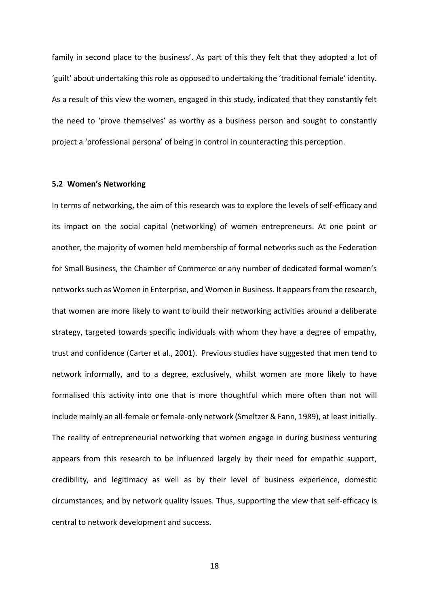family in second place to the business'. As part of this they felt that they adopted a lot of 'guilt' about undertaking this role as opposed to undertaking the 'traditional female' identity. As a result of this view the women, engaged in this study, indicated that they constantly felt the need to 'prove themselves' as worthy as a business person and sought to constantly project a 'professional persona' of being in control in counteracting this perception.

#### **5.2 Women's Networking**

In terms of networking, the aim of this research was to explore the levels of self-efficacy and its impact on the social capital (networking) of women entrepreneurs. At one point or another, the majority of women held membership of formal networks such as the Federation for Small Business, the Chamber of Commerce or any number of dedicated formal women's networks such as Women in Enterprise, and Women in Business. It appears from the research, that women are more likely to want to build their networking activities around a deliberate strategy, targeted towards specific individuals with whom they have a degree of empathy, trust and confidence (Carter et al., 2001). Previous studies have suggested that men tend to network informally, and to a degree, exclusively, whilst women are more likely to have formalised this activity into one that is more thoughtful which more often than not will include mainly an all-female or female-only network (Smeltzer & Fann, 1989), at least initially. The reality of entrepreneurial networking that women engage in during business venturing appears from this research to be influenced largely by their need for empathic support, credibility, and legitimacy as well as by their level of business experience, domestic circumstances, and by network quality issues. Thus, supporting the view that self-efficacy is central to network development and success.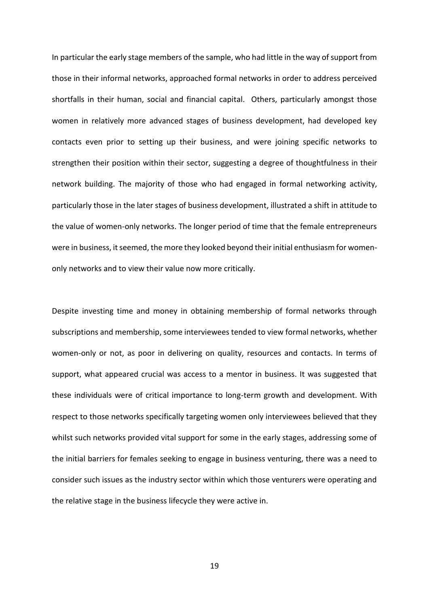In particular the early stage members of the sample, who had little in the way of support from those in their informal networks, approached formal networks in order to address perceived shortfalls in their human, social and financial capital. Others, particularly amongst those women in relatively more advanced stages of business development, had developed key contacts even prior to setting up their business, and were joining specific networks to strengthen their position within their sector, suggesting a degree of thoughtfulness in their network building. The majority of those who had engaged in formal networking activity, particularly those in the later stages of business development, illustrated a shift in attitude to the value of women-only networks. The longer period of time that the female entrepreneurs were in business, it seemed, the more they looked beyond their initial enthusiasm for womenonly networks and to view their value now more critically.

Despite investing time and money in obtaining membership of formal networks through subscriptions and membership, some interviewees tended to view formal networks, whether women-only or not, as poor in delivering on quality, resources and contacts. In terms of support, what appeared crucial was access to a mentor in business. It was suggested that these individuals were of critical importance to long-term growth and development. With respect to those networks specifically targeting women only interviewees believed that they whilst such networks provided vital support for some in the early stages, addressing some of the initial barriers for females seeking to engage in business venturing, there was a need to consider such issues as the industry sector within which those venturers were operating and the relative stage in the business lifecycle they were active in.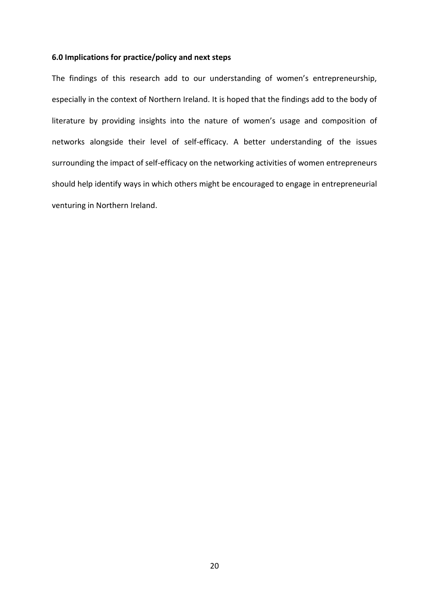#### **6.0 Implications for practice/policy and next steps**

The findings of this research add to our understanding of women's entrepreneurship, especially in the context of Northern Ireland. It is hoped that the findings add to the body of literature by providing insights into the nature of women's usage and composition of networks alongside their level of self-efficacy. A better understanding of the issues surrounding the impact of self-efficacy on the networking activities of women entrepreneurs should help identify ways in which others might be encouraged to engage in entrepreneurial venturing in Northern Ireland.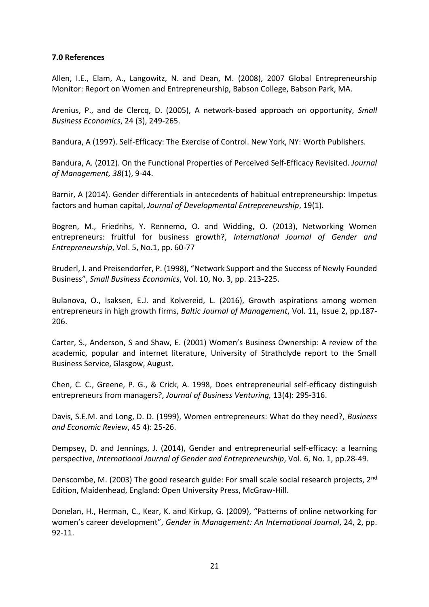#### **7.0 References**

Allen, I.E., Elam, A., Langowitz, N. and Dean, M. (2008), 2007 Global Entrepreneurship Monitor: Report on Women and Entrepreneurship, Babson College, Babson Park, MA.

Arenius, P., and de Clercq, D. (2005), A network-based approach on opportunity, *Small Business Economics*, 24 (3), 249-265.

Bandura, A (1997). Self-Efficacy: The Exercise of Control. New York, NY: Worth Publishers.

Bandura, A. (2012). On the Functional Properties of Perceived Self-Efficacy Revisited. *Journal of Management, 38*(1), 9-44.

Barnir, A (2014). Gender differentials in antecedents of habitual entrepreneurship: Impetus factors and human capital, *Journal of Developmental Entrepreneurship*, 19(1).

Bogren, M., Friedrihs, Y. Rennemo, O. and Widding, O. (2013), Networking Women entrepreneurs: fruitful for business growth?, *International Journal of Gender and Entrepreneurship*, Vol. 5, No.1, pp. 60-77

Bruderl, J. and Preisendorfer, P. (1998), "Network Support and the Success of Newly Founded Business", *Small Business Economics*, Vol. 10, No. 3, pp. 213-225.

Bulanova, O., Isaksen, E.J. and Kolvereid, L. (2016), Growth aspirations among women entrepreneurs in high growth firms, *Baltic Journal of Management*, Vol. 11, Issue 2, pp.187- 206.

Carter, S., Anderson, S and Shaw, E. (2001) Women's Business Ownership: A review of the academic, popular and internet literature, University of Strathclyde report to the Small Business Service, Glasgow, August.

Chen, C. C., Greene, P. G., & Crick, A. 1998, Does entrepreneurial self-efficacy distinguish entrepreneurs from managers?, *Journal of Business Venturing,* 13(4): 295-316.

Davis, S.E.M. and Long, D. D. (1999), Women entrepreneurs: What do they need?, *Business and Economic Review*, 45 4): 25-26.

Dempsey, D. and Jennings, J. (2014), Gender and entrepreneurial self-efficacy: a learning perspective, *International Journal of Gender and Entrepreneurship*, Vol. 6, No. 1, pp.28-49.

Denscombe, M. (2003) The good research guide: For small scale social research projects, 2<sup>nd</sup> Edition, Maidenhead, England: Open University Press, McGraw-Hill.

Donelan, H., Herman, C., Kear, K. and Kirkup, G. (2009), "Patterns of online networking for women's career development", *Gender in Management: An International Journal*, 24, 2, pp. 92-11.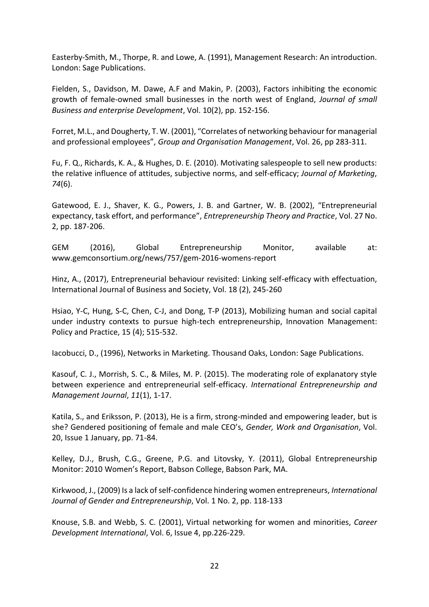Easterby-Smith, M., Thorpe, R. and Lowe, A. (1991), Management Research: An introduction. London: Sage Publications.

Fielden, S., Davidson, M. Dawe, A.F and Makin, P. (2003), Factors inhibiting the economic growth of female-owned small businesses in the north west of England, *Journal of small Business and enterprise Development*, Vol. 10(2), pp. 152-156.

Forret, M.L., and Dougherty, T. W. (2001), "Correlates of networking behaviour for managerial and professional employees", *Group and Organisation Management*, Vol. 26, pp 283-311.

Fu, F. Q., Richards, K. A., & Hughes, D. E. (2010). Motivating salespeople to sell new products: the relative influence of attitudes, subjective norms, and self-efficacy; *Journal of Marketing*, *74*(6).

Gatewood, E. J., Shaver, K. G., Powers, J. B. and Gartner, W. B. (2002), "Entrepreneurial expectancy, task effort, and performance", *Entrepreneurship Theory and Practice*, Vol. 27 No. 2, pp. 187-206.

GEM (2016), Global Entrepreneurship Monitor, available at: www.gemconsortium.org/news/757/gem-2016-womens-report

Hinz, A., (2017), Entrepreneurial behaviour revisited: Linking self-efficacy with effectuation, International Journal of Business and Society, Vol. 18 (2), 245-260

Hsiao, Y-C, Hung, S-C, Chen, C-J, and Dong, T-P (2013), Mobilizing human and social capital under industry contexts to pursue high-tech entrepreneurship, Innovation Management: Policy and Practice, 15 (4); 515-532.

Iacobucci, D., (1996), Networks in Marketing. Thousand Oaks, London: Sage Publications.

Kasouf, C. J., Morrish, S. C., & Miles, M. P. (2015). The moderating role of explanatory style between experience and entrepreneurial self-efficacy. *International Entrepreneurship and Management Journal*, *11*(1), 1-17.

Katila, S., and Eriksson, P. (2013), He is a firm, strong-minded and empowering leader, but is she? Gendered positioning of female and male CEO's, *Gender, Work and Organisation*, Vol. 20, Issue 1 January, pp. 71-84.

Kelley, D.J., Brush, C.G., Greene, P.G. and Litovsky, Y. (2011), Global Entrepreneurship Monitor: 2010 Women's Report, Babson College, Babson Park, MA.

Kirkwood, J., (2009) Is a lack of self-confidence hindering women entrepreneurs, *International Journal of Gender and Entrepreneurship*, Vol. 1 No. 2, pp. 118-133

Knouse, S.B. and Webb, S. C. (2001), Virtual networking for women and minorities, *Career Development International*, Vol. 6, Issue 4, pp.226-229.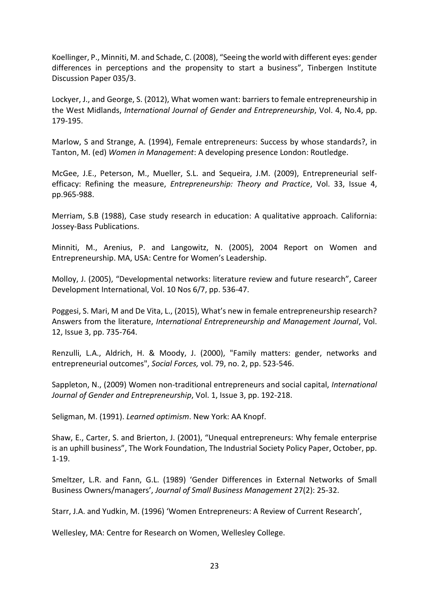Koellinger, P., Minniti, M. and Schade, C. (2008), "Seeing the world with different eyes: gender differences in perceptions and the propensity to start a business", Tinbergen Institute Discussion Paper 035/3.

Lockyer, J., and George, S. (2012), What women want: barriers to female entrepreneurship in the West Midlands, *International Journal of Gender and Entrepreneurship*, Vol. 4, No.4, pp. 179-195.

Marlow, S and Strange, A. (1994), Female entrepreneurs: Success by whose standards?, in Tanton, M. (ed) *Women in Management*: A developing presence London: Routledge.

McGee, J.E., Peterson, M., Mueller, S.L. and Sequeira, J.M. (2009), Entrepreneurial selfefficacy: Refining the measure, *Entrepreneurship: Theory and Practice*, Vol. 33, Issue 4, pp.965-988.

Merriam, S.B (1988), Case study research in education: A qualitative approach. California: Jossey-Bass Publications.

Minniti, M., Arenius, P. and Langowitz, N. (2005), 2004 Report on Women and Entrepreneurship. MA, USA: Centre for Women's Leadership.

Molloy, J. (2005), "Developmental networks: literature review and future research", Career Development International, Vol. 10 Nos 6/7, pp. 536-47.

Poggesi, S. Mari, M and De Vita, L., (2015), What's new in female entrepreneurship research? Answers from the literature, *International Entrepreneurship and Management Journal*, Vol. 12, Issue 3, pp. 735-764.

Renzulli, L.A., Aldrich, H. & Moody, J. (2000), "Family matters: gender, networks and entrepreneurial outcomes", *Social Forces,* vol. 79, no. 2, pp. 523-546.

Sappleton, N., (2009) Women non-traditional entrepreneurs and social capital, *International Journal of Gender and Entrepreneurship*, Vol. 1, Issue 3, pp. 192-218.

Seligman, M. (1991). *Learned optimism*. New York: AA Knopf.

Shaw, E., Carter, S. and Brierton, J. (2001), "Unequal entrepreneurs: Why female enterprise is an uphill business", The Work Foundation, The Industrial Society Policy Paper, October, pp. 1-19.

Smeltzer, L.R. and Fann, G.L. (1989) 'Gender Differences in External Networks of Small Business Owners/managers', *Journal of Small Business Management* 27(2): 25-32.

Starr, J.A. and Yudkin, M. (1996) 'Women Entrepreneurs: A Review of Current Research',

Wellesley, MA: Centre for Research on Women, Wellesley College.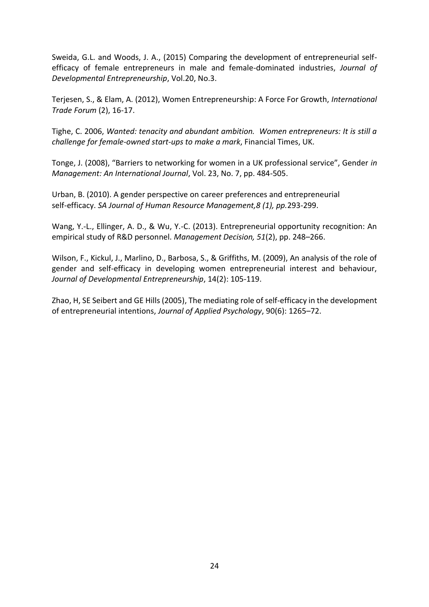Sweida, G.L. and Woods, J. A., (2015) Comparing the development of entrepreneurial selfefficacy of female entrepreneurs in male and female-dominated industries, *Journal of Developmental Entrepreneurship*, Vol.20, No.3.

Terjesen, S., & Elam, A. (2012), Women Entrepreneurship: A Force For Growth, *International Trade Forum* (2), 16-17.

Tighe, C. 2006, *Wanted: tenacity and abundant ambition. Women entrepreneurs: It is still a challenge for female-owned start-ups to make a mark*, Financial Times, UK.

Tonge, J. (2008), "Barriers to networking for women in a UK professional service", Gender *in Management: An International Journal*, Vol. 23, No. 7, pp. 484-505.

Urban, B. (2010). A gender perspective on career preferences and entrepreneurial self-efficacy. *SA Journal of Human Resource Management,8 (1), pp.*293-299.

Wang, Y.-L., Ellinger, A. D., & Wu, Y.-C. (2013). Entrepreneurial opportunity recognition: An empirical study of R&D personnel. *Management Decision, 51*(2), pp. 248–266.

Wilson, F., Kickul, J., Marlino, D., Barbosa, S., & Griffiths, M. (2009), An analysis of the role of gender and self-efficacy in developing women entrepreneurial interest and behaviour, *Journal of Developmental Entrepreneurship*, 14(2): 105-119.

Zhao, H, SE Seibert and GE Hills (2005), The mediating role of self-efficacy in the development of entrepreneurial intentions, *Journal of Applied Psychology*, 90(6): 1265–72.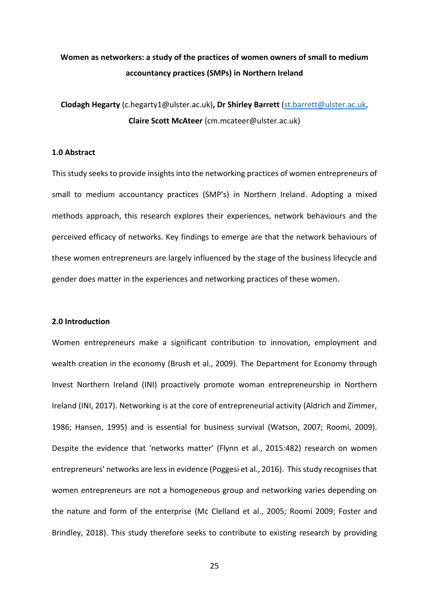### **Women as networkers: a study of the practices of women owners of small to medium accountancy practices (SMPs) in Northern Ireland**

**Clodagh Hegarty** (c.hegarty1@ulster.ac.uk)**, Dr Shirley Barrett** [\(st.barrett@ulster.ac.uk,](mailto:st.barrett@ulster.ac.uk) **Claire Scott McAteer** (cm.mcateer@ulster.ac.uk)

#### **1.0 Abstract**

This study seeks to provide insights into the networking practices of women entrepreneurs of small to medium accountancy practices (SMP's) in Northern Ireland. Adopting a mixed methods approach, this research explores their experiences, network behaviours and the perceived efficacy of networks. Key findings to emerge are that the network behaviours of these women entrepreneurs are largely influenced by the stage of the business lifecycle and gender does matter in the experiences and networking practices of these women.

#### **2.0 Introduction**

Women entrepreneurs make a significant contribution to innovation, employment and wealth creation in the economy (Brush et al., 2009). The Department for Economy through Invest Northern Ireland (INI) proactively promote woman entrepreneurship in Northern Ireland (INI, 2017). Networking is at the core of entrepreneurial activity (Aldrich and Zimmer, 1986; Hansen, 1995) and is essential for business survival (Watson, 2007; Roomi, 2009). Despite the evidence that 'networks matter' (Flynn et al., 2015:482) research on women entrepreneurs' networks are less in evidence (Poggesi et al., 2016). This study recognises that women entrepreneurs are not a homogeneous group and networking varies depending on the nature and form of the enterprise (Mc Clelland et al., 2005; Roomi 2009; Foster and Brindley, 2018). This study therefore seeks to contribute to existing research by providing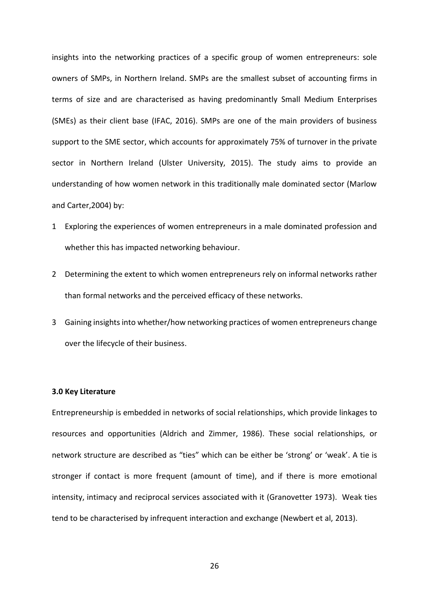insights into the networking practices of a specific group of women entrepreneurs: sole owners of SMPs, in Northern Ireland. SMPs are the smallest subset of accounting firms in terms of size and are characterised as having predominantly Small Medium Enterprises (SMEs) as their client base (IFAC, 2016). SMPs are one of the main providers of business support to the SME sector, which accounts for approximately 75% of turnover in the private sector in Northern Ireland (Ulster University, 2015). The study aims to provide an understanding of how women network in this traditionally male dominated sector (Marlow and Carter,2004) by:

- 1 Exploring the experiences of women entrepreneurs in a male dominated profession and whether this has impacted networking behaviour.
- 2 Determining the extent to which women entrepreneurs rely on informal networks rather than formal networks and the perceived efficacy of these networks.
- 3 Gaining insights into whether/how networking practices of women entrepreneurs change over the lifecycle of their business.

#### **3.0 Key Literature**

Entrepreneurship is embedded in networks of social relationships, which provide linkages to resources and opportunities (Aldrich and Zimmer, 1986). These social relationships, or network structure are described as "ties" which can be either be 'strong' or 'weak'. A tie is stronger if contact is more frequent (amount of time), and if there is more emotional intensity, intimacy and reciprocal services associated with it (Granovetter 1973). Weak ties tend to be characterised by infrequent interaction and exchange (Newbert et al, 2013).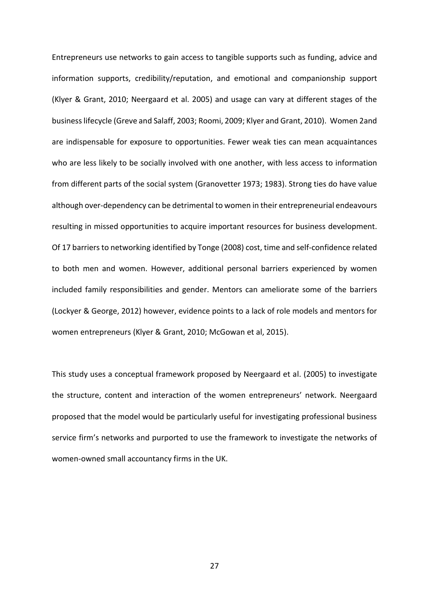Entrepreneurs use networks to gain access to tangible supports such as funding, advice and information supports, credibility/reputation, and emotional and companionship support (Klyer & Grant, 2010; Neergaard et al. 2005) and usage can vary at different stages of the business lifecycle (Greve and Salaff, 2003; Roomi, 2009; Klyer and Grant, 2010). Women 2and are indispensable for exposure to opportunities. Fewer weak ties can mean acquaintances who are less likely to be socially involved with one another, with less access to information from different parts of the social system (Granovetter 1973; 1983). Strong ties do have value although over-dependency can be detrimental to women in their entrepreneurial endeavours resulting in missed opportunities to acquire important resources for business development. Of 17 barriers to networking identified by Tonge (2008) cost, time and self-confidence related to both men and women. However, additional personal barriers experienced by women included family responsibilities and gender. Mentors can ameliorate some of the barriers (Lockyer & George, 2012) however, evidence points to a lack of role models and mentors for women entrepreneurs (Klyer & Grant, 2010; McGowan et al, 2015).

This study uses a conceptual framework proposed by Neergaard et al. (2005) to investigate the structure, content and interaction of the women entrepreneurs' network. Neergaard proposed that the model would be particularly useful for investigating professional business service firm's networks and purported to use the framework to investigate the networks of women-owned small accountancy firms in the UK.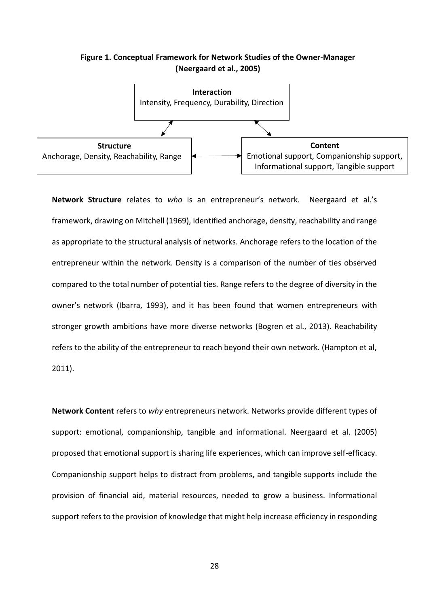#### **Figure 1. Conceptual Framework for Network Studies of the Owner-Manager (Neergaard et al., 2005)**



**Network Structure** relates to *who* is an entrepreneur's network. Neergaard et al.'s framework, drawing on Mitchell (1969), identified anchorage, density, reachability and range as appropriate to the structural analysis of networks. Anchorage refers to the location of the entrepreneur within the network. Density is a comparison of the number of ties observed compared to the total number of potential ties. Range refers to the degree of diversity in the owner's network (Ibarra, 1993), and it has been found that women entrepreneurs with stronger growth ambitions have more diverse networks (Bogren et al., 2013). Reachability refers to the ability of the entrepreneur to reach beyond their own network. (Hampton et al, 2011).

**Network Content** refers to *why* entrepreneurs network. Networks provide different types of support: emotional, companionship, tangible and informational. Neergaard et al. (2005) proposed that emotional support is sharing life experiences, which can improve self-efficacy. Companionship support helps to distract from problems, and tangible supports include the provision of financial aid, material resources, needed to grow a business. Informational support refers to the provision of knowledge that might help increase efficiency in responding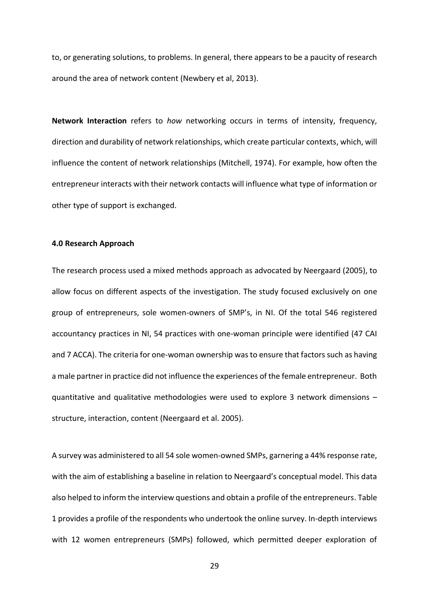to, or generating solutions, to problems. In general, there appears to be a paucity of research around the area of network content (Newbery et al, 2013).

**Network Interaction** refers to *how* networking occurs in terms of intensity, frequency, direction and durability of network relationships, which create particular contexts, which, will influence the content of network relationships (Mitchell, 1974). For example, how often the entrepreneur interacts with their network contacts will influence what type of information or other type of support is exchanged.

#### **4.0 Research Approach**

The research process used a mixed methods approach as advocated by Neergaard (2005), to allow focus on different aspects of the investigation. The study focused exclusively on one group of entrepreneurs, sole women-owners of SMP's, in NI. Of the total 546 registered accountancy practices in NI, 54 practices with one-woman principle were identified (47 CAI and 7 ACCA). The criteria for one-woman ownership was to ensure that factors such as having a male partner in practice did not influence the experiences of the female entrepreneur. Both quantitative and qualitative methodologies were used to explore 3 network dimensions – structure, interaction, content (Neergaard et al. 2005).

A survey was administered to all 54 sole women-owned SMPs, garnering a 44% response rate, with the aim of establishing a baseline in relation to Neergaard's conceptual model. This data also helped to inform the interview questions and obtain a profile of the entrepreneurs. Table 1 provides a profile of the respondents who undertook the online survey. In-depth interviews with 12 women entrepreneurs (SMPs) followed, which permitted deeper exploration of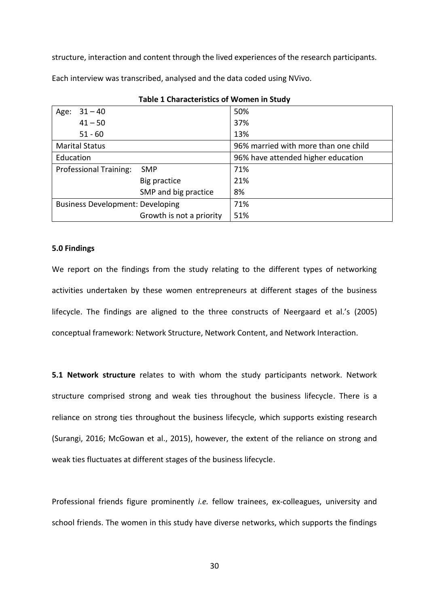structure, interaction and content through the lived experiences of the research participants.

Each interview was transcribed, analysed and the data coded using NVivo.

| $31 - 40$<br>Age:                           | 50%                                  |  |
|---------------------------------------------|--------------------------------------|--|
| $41 - 50$                                   | 37%                                  |  |
| $51 - 60$                                   | 13%                                  |  |
| <b>Marital Status</b>                       | 96% married with more than one child |  |
| Education                                   | 96% have attended higher education   |  |
| <b>Professional Training:</b><br><b>SMP</b> | 71%                                  |  |
| Big practice                                | 21%                                  |  |
| SMP and big practice                        | 8%                                   |  |
| <b>Business Development: Developing</b>     | 71%                                  |  |
| Growth is not a priority                    | 51%                                  |  |

**Table 1 Characteristics of Women in Study**

#### **5.0 Findings**

We report on the findings from the study relating to the different types of networking activities undertaken by these women entrepreneurs at different stages of the business lifecycle. The findings are aligned to the three constructs of Neergaard et al.'s (2005) conceptual framework: Network Structure, Network Content, and Network Interaction.

**5.1 Network structure** relates to with whom the study participants network. Network structure comprised strong and weak ties throughout the business lifecycle. There is a reliance on strong ties throughout the business lifecycle, which supports existing research (Surangi, 2016; McGowan et al., 2015), however, the extent of the reliance on strong and weak ties fluctuates at different stages of the business lifecycle.

Professional friends figure prominently *i.e.* fellow trainees, ex-colleagues, university and school friends. The women in this study have diverse networks, which supports the findings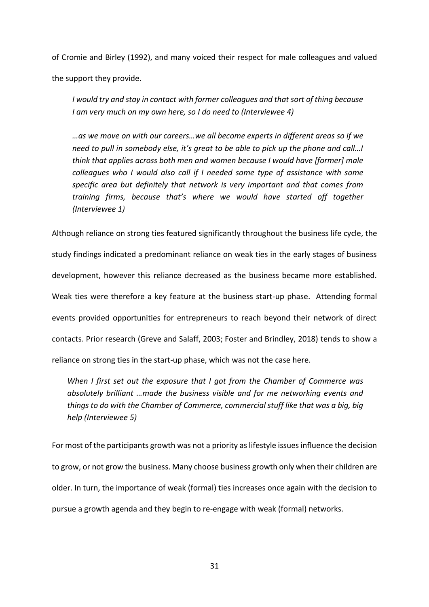of Cromie and Birley (1992), and many voiced their respect for male colleagues and valued the support they provide.

*I would try and stay in contact with former colleagues and that sort of thing because I am very much on my own here, so I do need to (Interviewee 4)* 

*…as we move on with our careers…we all become experts in different areas so if we need to pull in somebody else, it's great to be able to pick up the phone and call…I think that applies across both men and women because I would have [former] male colleagues who I would also call if I needed some type of assistance with some specific area but definitely that network is very important and that comes from training firms, because that's where we would have started off together (Interviewee 1)*

Although reliance on strong ties featured significantly throughout the business life cycle, the study findings indicated a predominant reliance on weak ties in the early stages of business development, however this reliance decreased as the business became more established. Weak ties were therefore a key feature at the business start-up phase. Attending formal events provided opportunities for entrepreneurs to reach beyond their network of direct contacts. Prior research (Greve and Salaff, 2003; Foster and Brindley, 2018) tends to show a reliance on strong ties in the start-up phase, which was not the case here.

*When I first set out the exposure that I got from the Chamber of Commerce was absolutely brilliant …made the business visible and for me networking events and things to do with the Chamber of Commerce, commercial stuff like that was a big, big help (Interviewee 5)*

For most of the participants growth was not a priority as lifestyle issues influence the decision to grow, or not grow the business. Many choose business growth only when their children are older. In turn, the importance of weak (formal) ties increases once again with the decision to pursue a growth agenda and they begin to re-engage with weak (formal) networks.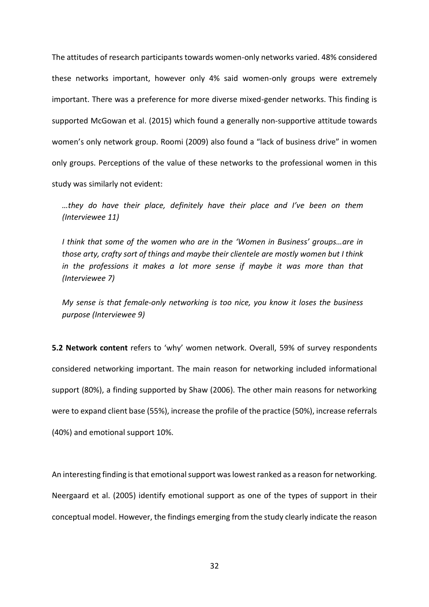The attitudes of research participants towards women-only networks varied. 48% considered these networks important, however only 4% said women-only groups were extremely important. There was a preference for more diverse mixed-gender networks. This finding is supported McGowan et al. (2015) which found a generally non-supportive attitude towards women's only network group. Roomi (2009) also found a "lack of business drive" in women only groups. Perceptions of the value of these networks to the professional women in this study was similarly not evident:

*…they do have their place, definitely have their place and I've been on them (Interviewee 11)*

*I think that some of the women who are in the 'Women in Business' groups…are in those arty, crafty sort of things and maybe their clientele are mostly women but I think in the professions it makes a lot more sense if maybe it was more than that (Interviewee 7)* 

*My sense is that female-only networking is too nice, you know it loses the business purpose (Interviewee 9)* 

**5.2 Network content** refers to 'why' women network. Overall, 59% of survey respondents considered networking important. The main reason for networking included informational support (80%), a finding supported by Shaw (2006). The other main reasons for networking were to expand client base (55%), increase the profile of the practice (50%), increase referrals (40%) and emotional support 10%.

An interesting finding is that emotional support was lowest ranked as a reason for networking. Neergaard et al. (2005) identify emotional support as one of the types of support in their conceptual model. However, the findings emerging from the study clearly indicate the reason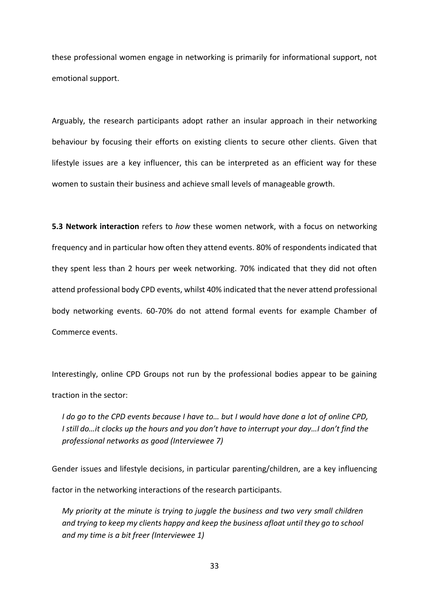these professional women engage in networking is primarily for informational support, not emotional support.

Arguably, the research participants adopt rather an insular approach in their networking behaviour by focusing their efforts on existing clients to secure other clients. Given that lifestyle issues are a key influencer, this can be interpreted as an efficient way for these women to sustain their business and achieve small levels of manageable growth.

**5.3 Network interaction** refers to *how* these women network, with a focus on networking frequency and in particular how often they attend events. 80% of respondents indicated that they spent less than 2 hours per week networking. 70% indicated that they did not often attend professional body CPD events, whilst 40% indicated that the never attend professional body networking events. 60-70% do not attend formal events for example Chamber of Commerce events.

Interestingly, online CPD Groups not run by the professional bodies appear to be gaining traction in the sector:

*I do go to the CPD events because I have to… but I would have done a lot of online CPD, I still do…it clocks up the hours and you don't have to interrupt your day…I don't find the professional networks as good (Interviewee 7)*

Gender issues and lifestyle decisions, in particular parenting/children, are a key influencing

factor in the networking interactions of the research participants.

*My priority at the minute is trying to juggle the business and two very small children and trying to keep my clients happy and keep the business afloat until they go to school and my time is a bit freer (Interviewee 1)*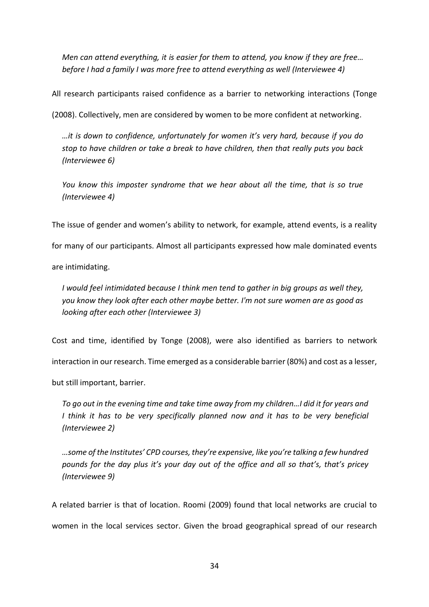*Men can attend everything, it is easier for them to attend, you know if they are free… before I had a family I was more free to attend everything as well (Interviewee 4)*

All research participants raised confidence as a barrier to networking interactions (Tonge

(2008). Collectively, men are considered by women to be more confident at networking.

*…it is down to confidence, unfortunately for women it's very hard, because if you do stop to have children or take a break to have children, then that really puts you back (Interviewee 6)* 

*You know this imposter syndrome that we hear about all the time, that is so true (Interviewee 4)* 

The issue of gender and women's ability to network, for example, attend events, is a reality

for many of our participants. Almost all participants expressed how male dominated events

are intimidating.

*I would feel intimidated because I think men tend to gather in big groups as well they, you know they look after each other maybe better. I'm not sure women are as good as looking after each other (Interviewee 3)*

Cost and time, identified by Tonge (2008), were also identified as barriers to network

interaction in our research. Time emerged as a considerable barrier (80%) and cost as a lesser,

but still important, barrier.

*To go out in the evening time and take time away from my children…I did it for years and I think it has to be very specifically planned now and it has to be very beneficial (Interviewee 2)* 

*…some of the Institutes' CPD courses, they're expensive, like you're talking a few hundred pounds for the day plus it's your day out of the office and all so that's, that's pricey (Interviewee 9)*

A related barrier is that of location. Roomi (2009) found that local networks are crucial to women in the local services sector. Given the broad geographical spread of our research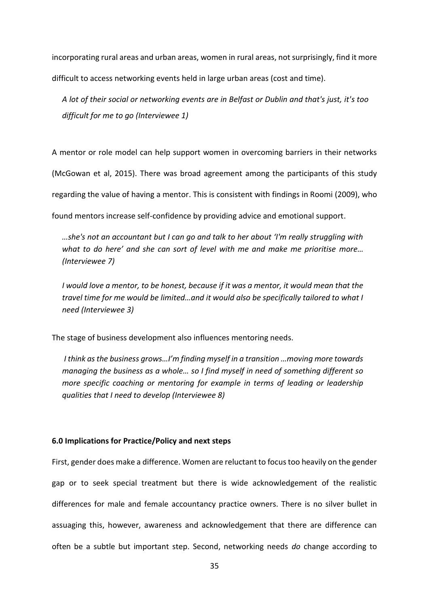incorporating rural areas and urban areas, women in rural areas, not surprisingly, find it more difficult to access networking events held in large urban areas (cost and time).

*A lot of their social or networking events are in Belfast or Dublin and that's just, it's too difficult for me to go (Interviewee 1)* 

A mentor or role model can help support women in overcoming barriers in their networks

(McGowan et al, 2015). There was broad agreement among the participants of this study

regarding the value of having a mentor. This is consistent with findings in Roomi (2009), who

found mentors increase self-confidence by providing advice and emotional support.

*…she's not an accountant but I can go and talk to her about 'I'm really struggling with what to do here' and she can sort of level with me and make me prioritise more… (Interviewee 7)* 

*I would love a mentor, to be honest, because if it was a mentor, it would mean that the travel time for me would be limited…and it would also be specifically tailored to what I need (Interviewee 3)* 

The stage of business development also influences mentoring needs.

*I think as the business grows…I'm finding myself in a transition …moving more towards managing the business as a whole… so I find myself in need of something different so more specific coaching or mentoring for example in terms of leading or leadership qualities that I need to develop (Interviewee 8)*

#### **6.0 Implications for Practice/Policy and next steps**

First, gender does make a difference. Women are reluctant to focus too heavily on the gender gap or to seek special treatment but there is wide acknowledgement of the realistic differences for male and female accountancy practice owners. There is no silver bullet in assuaging this, however, awareness and acknowledgement that there are difference can often be a subtle but important step. Second, networking needs *do* change according to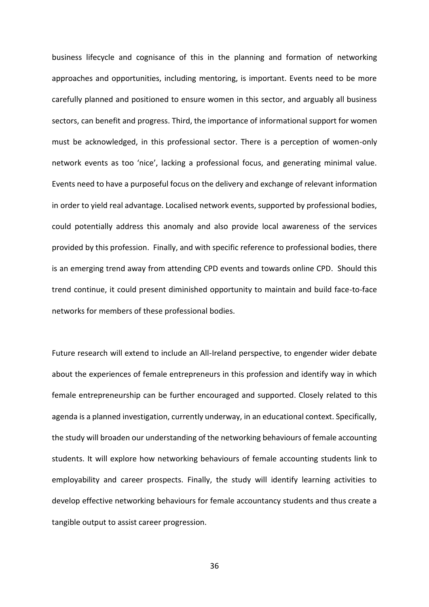business lifecycle and cognisance of this in the planning and formation of networking approaches and opportunities, including mentoring, is important. Events need to be more carefully planned and positioned to ensure women in this sector, and arguably all business sectors, can benefit and progress. Third, the importance of informational support for women must be acknowledged, in this professional sector. There is a perception of women-only network events as too 'nice', lacking a professional focus, and generating minimal value. Events need to have a purposeful focus on the delivery and exchange of relevant information in order to yield real advantage. Localised network events, supported by professional bodies, could potentially address this anomaly and also provide local awareness of the services provided by this profession. Finally, and with specific reference to professional bodies, there is an emerging trend away from attending CPD events and towards online CPD. Should this trend continue, it could present diminished opportunity to maintain and build face-to-face networks for members of these professional bodies.

Future research will extend to include an All-Ireland perspective, to engender wider debate about the experiences of female entrepreneurs in this profession and identify way in which female entrepreneurship can be further encouraged and supported. Closely related to this agenda is a planned investigation, currently underway, in an educational context. Specifically, the study will broaden our understanding of the networking behaviours of female accounting students. It will explore how networking behaviours of female accounting students link to employability and career prospects. Finally, the study will identify learning activities to develop effective networking behaviours for female accountancy students and thus create a tangible output to assist career progression.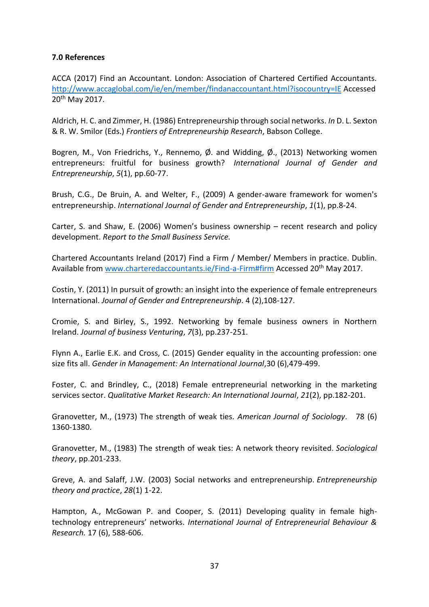# **7.0 References**

ACCA (2017) Find an Accountant. London: Association of Chartered Certified Accountants. <http://www.accaglobal.com/ie/en/member/findanaccountant.html?isocountry=IE> Accessed 20th May 2017.

Aldrich, H. C. and Zimmer, H. (1986) Entrepreneurship through social networks. *In* D. L. Sexton & R. W. Smilor (Eds.) *Frontiers of Entrepreneurship Research*, Babson College.

Bogren, M., Von Friedrichs, Y., Rennemo,  $\emptyset$ . and Widding,  $\emptyset$ ., (2013) Networking women entrepreneurs: fruitful for business growth? *International Journal of Gender and Entrepreneurship*, *5*(1), pp.60-77.

Brush, C.G., De Bruin, A. and Welter, F., (2009) A gender-aware framework for women's entrepreneurship. *International Journal of Gender and Entrepreneurship*, *1*(1), pp.8-24.

Carter, S. and Shaw, E. (2006) Women's business ownership – recent research and policy development. *Report to the Small Business Service.*

Chartered Accountants Ireland (2017) Find a Firm / Member/ Members in practice. Dublin. Available from [www.charteredaccountants.ie/Find-a-Firm#firm](http://www.charteredaccountants.ie/Find-a-Firm#firm) Accessed 20<sup>th</sup> May 2017.

Costin, Y. (2011) In pursuit of growth: an insight into the experience of female entrepreneurs International. *Journal of Gender and Entrepreneurship*. 4 (2),108-127.

Cromie, S. and Birley, S., 1992. Networking by female business owners in Northern Ireland. *Journal of business Venturing*, *7*(3), pp.237-251.

Flynn A., Earlie E.K. and Cross, C. (2015) Gender equality in the accounting profession: one size fits all. *Gender in Management: An International Journal*,30 (6),479-499.

Foster, C. and Brindley, C., (2018) Female entrepreneurial networking in the marketing services sector. *Qualitative Market Research: An International Journal*, *21*(2), pp.182-201.

Granovetter, M., (1973) The strength of weak ties. *American Journal of Sociology*. 78 (6) 1360-1380.

Granovetter, M., (1983) The strength of weak ties: A network theory revisited. *Sociological theory*, pp.201-233.

Greve, A. and Salaff, J.W. (2003) Social networks and entrepreneurship. *Entrepreneurship theory and practice*, *28*(1) 1-22.

Hampton, A., McGowan P. and Cooper, S. (2011) Developing quality in female hightechnology entrepreneurs' networks. *International Journal of Entrepreneurial Behaviour & Research.* 17 (6), 588-606.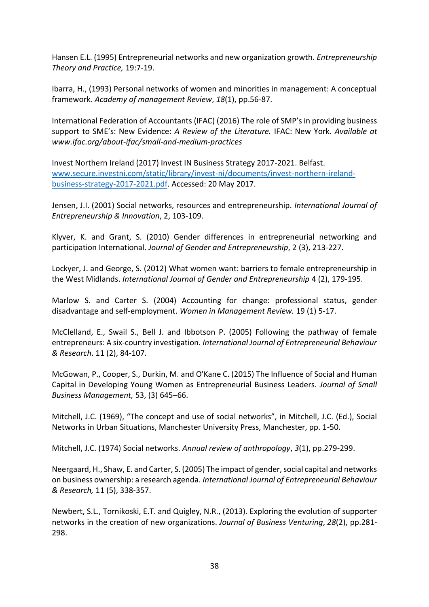Hansen E.L. (1995) Entrepreneurial networks and new organization growth. *Entrepreneurship Theory and Practice,* 19:7-19.

Ibarra, H., (1993) Personal networks of women and minorities in management: A conceptual framework. *Academy of management Review*, *18*(1), pp.56-87.

International Federation of Accountants (IFAC) (2016) The role of SMP's in providing business support to SME's: New Evidence: *A Review of the Literature.* IFAC: New York. *Available at www.ifac.org/about-ifac/small-and-medium-practices*

Invest Northern Ireland (2017) Invest IN Business Strategy 2017-2021. Belfast. [www.secure.investni.com/static/library/invest-ni/documents/invest-northern-ireland](http://www.secure.investni.com/static/library/invest-ni/documents/invest-northern-ireland-business-strategy-2017-2021.pdf)[business-strategy-2017-2021.pdf.](http://www.secure.investni.com/static/library/invest-ni/documents/invest-northern-ireland-business-strategy-2017-2021.pdf) Accessed: 20 May 2017.

Jensen, J.I. (2001) Social networks, resources and entrepreneurship. *International Journal of Entrepreneurship & Innovation*, 2, 103-109.

Klyver, K. and Grant, S. (2010) Gender differences in entrepreneurial networking and participation International. *Journal of Gender and Entrepreneurship*, 2 (3), 213-227.

Lockyer, J. and George, S. (2012) What women want: barriers to female entrepreneurship in the West Midlands. *International Journal of Gender and Entrepreneurship* 4 (2), 179-195.

Marlow S. and Carter S. (2004) Accounting for change: professional status, gender disadvantage and self‐employment. *Women in Management Review.* 19 (1) 5-17.

McClelland, E., Swail S., Bell J. and Ibbotson P. (2005) Following the pathway of female entrepreneurs: A six‐country investigation*. International Journal of Entrepreneurial Behaviour & Research*. 11 (2), 84-107.

McGowan, P., Cooper, S., Durkin, M. and O'Kane C. (2015) The Influence of Social and Human Capital in Developing Young Women as Entrepreneurial Business Leaders. *Journal of Small Business Management,* 53, (3) 645–66.

Mitchell, J.C. (1969), "The concept and use of social networks", in Mitchell, J.C. (Ed.), Social Networks in Urban Situations, Manchester University Press, Manchester, pp. 1-50.

Mitchell, J.C. (1974) Social networks. *Annual review of anthropology*, *3*(1), pp.279-299.

Neergaard, H., Shaw, E. and Carter, S. (2005) The impact of gender, social capital and networks on business ownership: a research agenda. *International Journal of Entrepreneurial Behaviour & Research,* 11 (5), 338-357.

Newbert, S.L., Tornikoski, E.T. and Quigley, N.R., (2013). Exploring the evolution of supporter networks in the creation of new organizations. *Journal of Business Venturing*, *28*(2), pp.281- 298.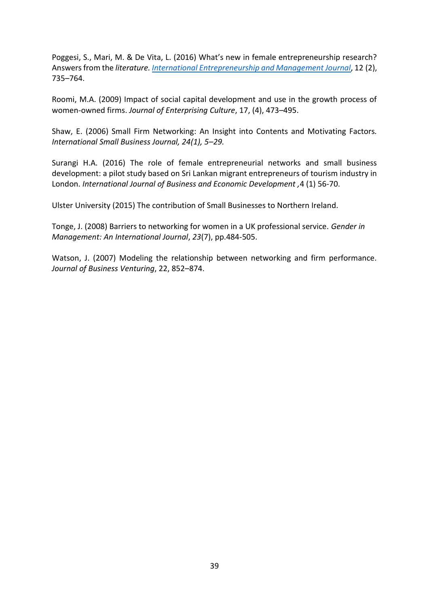Poggesi, S., Mari, M. & De Vita, L. (2016) What's new in female entrepreneurship research? Answers from the *literature. [International Entrepreneurship and Management Journal](https://link.springer.com/journal/11365)*, 12 (2), 735–764.

Roomi, M.A. (2009) Impact of social capital development and use in the growth process of women-owned firms. *Journal of Enterprising Culture*, 17, (4), 473–495.

Shaw, E. (2006) Small Firm Networking: An Insight into Contents and Motivating Factors*. International Small Business Journal, 24(1), 5–29.*

Surangi H.A. (2016) The role of female entrepreneurial networks and small business development: a pilot study based on Sri Lankan migrant entrepreneurs of tourism industry in London. *International Journal of Business and Economic Development ,*4 (1) 56-70.

Ulster University (2015) The contribution of Small Businesses to Northern Ireland.

Tonge, J. (2008) Barriers to networking for women in a UK professional service. *Gender in Management: An International Journal*, *23*(7), pp.484-505.

Watson, J. (2007) Modeling the relationship between networking and firm performance. *Journal of Business Venturing*, 22, 852–874.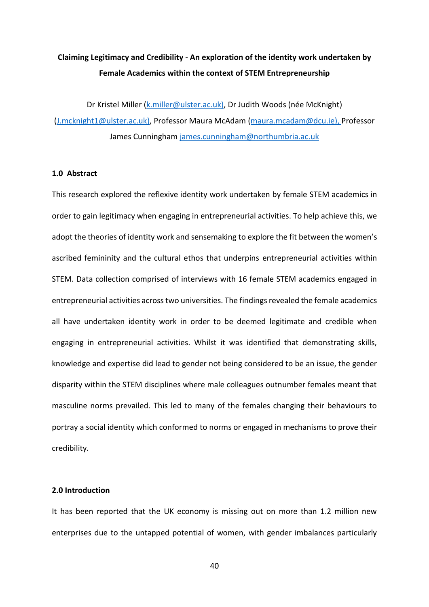# **Claiming Legitimacy and Credibility - An exploration of the identity work undertaken by Female Academics within the context of STEM Entrepreneurship**

Dr Kristel Miller [\(k.miller@ulster.ac.uk\)](mailto:k.miller@ulster.ac.uk), Dr Judith Woods (née McKnight) [\(J.mcknight1@ulster.ac.uk\)](mailto:J.mcknight1@ulster.ac.uk), Professor Maura McAdam [\(maura.mcadam@dcu.ie\)](mailto:maura.mcadam@dcu.ie), Professor James Cunningham [james.cunningham@northumbria.ac.uk](mailto:james.cunningham@northumbria.ac.uk)

# **1.0 Abstract**

This research explored the reflexive identity work undertaken by female STEM academics in order to gain legitimacy when engaging in entrepreneurial activities. To help achieve this, we adopt the theories of identity work and sensemaking to explore the fit between the women's ascribed femininity and the cultural ethos that underpins entrepreneurial activities within STEM. Data collection comprised of interviews with 16 female STEM academics engaged in entrepreneurial activities across two universities. The findings revealed the female academics all have undertaken identity work in order to be deemed legitimate and credible when engaging in entrepreneurial activities. Whilst it was identified that demonstrating skills, knowledge and expertise did lead to gender not being considered to be an issue, the gender disparity within the STEM disciplines where male colleagues outnumber females meant that masculine norms prevailed. This led to many of the females changing their behaviours to portray a social identity which conformed to norms or engaged in mechanisms to prove their credibility.

# **2.0 Introduction**

It has been reported that the UK economy is missing out on more than 1.2 million new enterprises due to the untapped potential of women, with gender imbalances particularly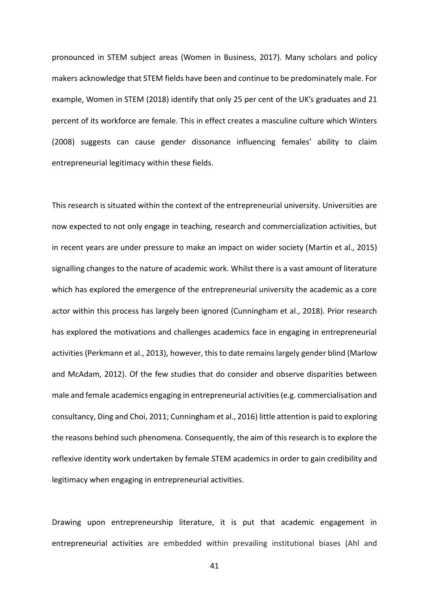pronounced in STEM subject areas (Women in Business, 2017). Many scholars and policy makers acknowledge that STEM fields have been and continue to be predominately male. For example, Women in STEM (2018) identify that only 25 per cent of the UK's graduates and 21 percent of its workforce are female. This in effect creates a masculine culture which Winters (2008) suggests can cause gender dissonance influencing females' ability to claim entrepreneurial legitimacy within these fields.

This research is situated within the context of the entrepreneurial university. Universities are now expected to not only engage in teaching, research and commercialization activities, but in recent years are under pressure to make an impact on wider society (Martin et al., 2015) signalling changes to the nature of academic work. Whilst there is a vast amount of literature which has explored the emergence of the entrepreneurial university the academic as a core actor within this process has largely been ignored (Cunningham et al., 2018). Prior research has explored the motivations and challenges academics face in engaging in entrepreneurial activities (Perkmann et al., 2013), however, this to date remains largely gender blind (Marlow and McAdam, 2012). Of the few studies that do consider and observe disparities between male and female academics engaging in entrepreneurial activities (e.g. commercialisation and consultancy, Ding and Choi, 2011; Cunningham et al., 2016) little attention is paid to exploring the reasons behind such phenomena. Consequently, the aim of this research is to explore the reflexive identity work undertaken by female STEM academics in order to gain credibility and legitimacy when engaging in entrepreneurial activities.

Drawing upon entrepreneurship literature, it is put that academic engagement in entrepreneurial activities are embedded within prevailing institutional biases (Ahl and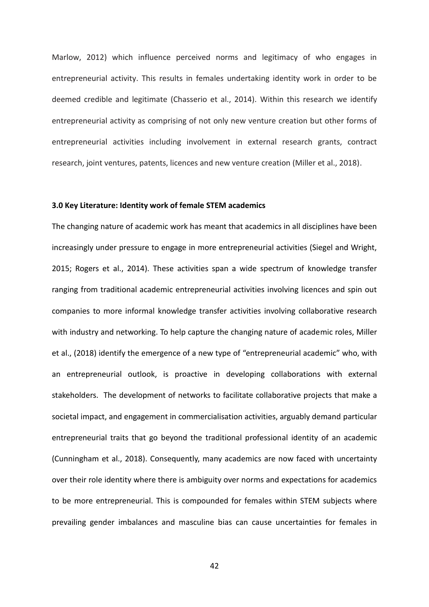Marlow, 2012) which influence perceived norms and legitimacy of who engages in entrepreneurial activity. This results in females undertaking identity work in order to be deemed credible and legitimate (Chasserio et al., 2014). Within this research we identify entrepreneurial activity as comprising of not only new venture creation but other forms of entrepreneurial activities including involvement in external research grants, contract research, joint ventures, patents, licences and new venture creation (Miller et al., 2018).

#### **3.0 Key Literature: Identity work of female STEM academics**

The changing nature of academic work has meant that academics in all disciplines have been increasingly under pressure to engage in more entrepreneurial activities (Siegel and Wright, 2015; Rogers et al., 2014). These activities span a wide spectrum of knowledge transfer ranging from traditional academic entrepreneurial activities involving licences and spin out companies to more informal knowledge transfer activities involving collaborative research with industry and networking. To help capture the changing nature of academic roles, Miller et al., (2018) identify the emergence of a new type of "entrepreneurial academic" who, with an entrepreneurial outlook, is proactive in developing collaborations with external stakeholders. The development of networks to facilitate collaborative projects that make a societal impact, and engagement in commercialisation activities, arguably demand particular entrepreneurial traits that go beyond the traditional professional identity of an academic (Cunningham et al., 2018). Consequently, many academics are now faced with uncertainty over their role identity where there is ambiguity over norms and expectations for academics to be more entrepreneurial. This is compounded for females within STEM subjects where prevailing gender imbalances and masculine bias can cause uncertainties for females in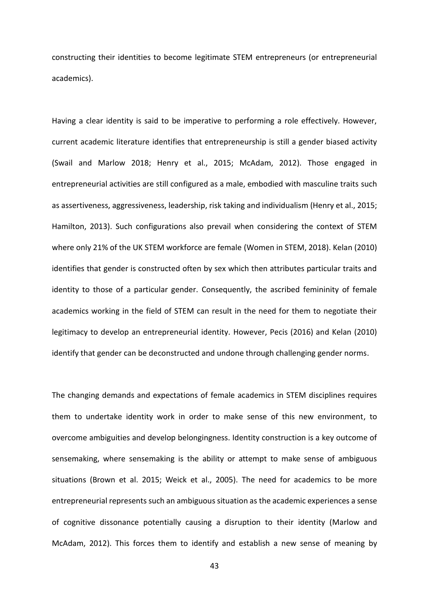constructing their identities to become legitimate STEM entrepreneurs (or entrepreneurial academics).

Having a clear identity is said to be imperative to performing a role effectively. However, current academic literature identifies that entrepreneurship is still a gender biased activity (Swail and Marlow 2018; Henry et al., 2015; McAdam, 2012). Those engaged in entrepreneurial activities are still configured as a male, embodied with masculine traits such as assertiveness, aggressiveness, leadership, risk taking and individualism (Henry et al., 2015; Hamilton, 2013). Such configurations also prevail when considering the context of STEM where only 21% of the UK STEM workforce are female (Women in STEM, 2018). Kelan (2010) identifies that gender is constructed often by sex which then attributes particular traits and identity to those of a particular gender. Consequently, the ascribed femininity of female academics working in the field of STEM can result in the need for them to negotiate their legitimacy to develop an entrepreneurial identity. However, Pecis (2016) and Kelan (2010) identify that gender can be deconstructed and undone through challenging gender norms.

The changing demands and expectations of female academics in STEM disciplines requires them to undertake identity work in order to make sense of this new environment, to overcome ambiguities and develop belongingness. Identity construction is a key outcome of sensemaking, where sensemaking is the ability or attempt to make sense of ambiguous situations (Brown et al. 2015; Weick et al., 2005). The need for academics to be more entrepreneurial represents such an ambiguous situation as the academic experiences a sense of cognitive dissonance potentially causing a disruption to their identity (Marlow and McAdam, 2012). This forces them to identify and establish a new sense of meaning by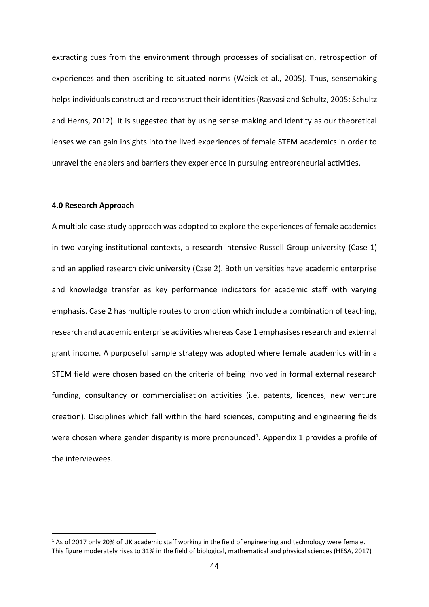extracting cues from the environment through processes of socialisation, retrospection of experiences and then ascribing to situated norms (Weick et al., 2005). Thus, sensemaking helps individuals construct and reconstruct their identities (Rasvasi and Schultz, 2005; Schultz and Herns, 2012). It is suggested that by using sense making and identity as our theoretical lenses we can gain insights into the lived experiences of female STEM academics in order to unravel the enablers and barriers they experience in pursuing entrepreneurial activities.

## **4.0 Research Approach**

-

A multiple case study approach was adopted to explore the experiences of female academics in two varying institutional contexts, a research-intensive Russell Group university (Case 1) and an applied research civic university (Case 2). Both universities have academic enterprise and knowledge transfer as key performance indicators for academic staff with varying emphasis. Case 2 has multiple routes to promotion which include a combination of teaching, research and academic enterprise activities whereas Case 1 emphasisesresearch and external grant income. A purposeful sample strategy was adopted where female academics within a STEM field were chosen based on the criteria of being involved in formal external research funding, consultancy or commercialisation activities (i.e. patents, licences, new venture creation). Disciplines which fall within the hard sciences, computing and engineering fields were chosen where gender disparity is more pronounced<sup>1</sup>. Appendix 1 provides a profile of the interviewees.

 $1$  As of 2017 only 20% of UK academic staff working in the field of engineering and technology were female. This figure moderately rises to 31% in the field of biological, mathematical and physical sciences (HESA, 2017)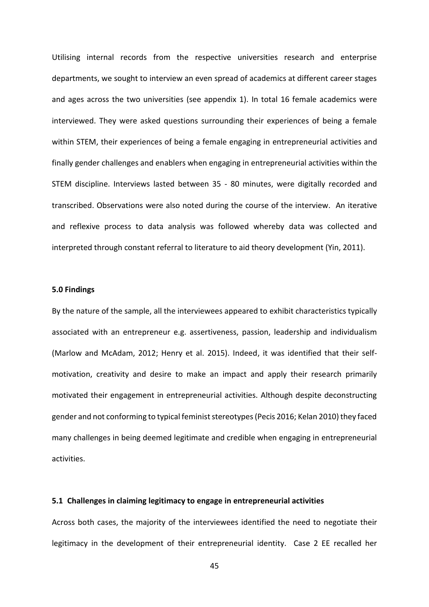Utilising internal records from the respective universities research and enterprise departments, we sought to interview an even spread of academics at different career stages and ages across the two universities (see appendix 1). In total 16 female academics were interviewed. They were asked questions surrounding their experiences of being a female within STEM, their experiences of being a female engaging in entrepreneurial activities and finally gender challenges and enablers when engaging in entrepreneurial activities within the STEM discipline. Interviews lasted between 35 - 80 minutes, were digitally recorded and transcribed. Observations were also noted during the course of the interview. An iterative and reflexive process to data analysis was followed whereby data was collected and interpreted through constant referral to literature to aid theory development (Yin, 2011).

### **5.0 Findings**

By the nature of the sample, all the interviewees appeared to exhibit characteristics typically associated with an entrepreneur e.g. assertiveness, passion, leadership and individualism (Marlow and McAdam, 2012; Henry et al. 2015). Indeed, it was identified that their selfmotivation, creativity and desire to make an impact and apply their research primarily motivated their engagement in entrepreneurial activities. Although despite deconstructing gender and not conforming to typical feminist stereotypes (Pecis 2016; Kelan 2010) they faced many challenges in being deemed legitimate and credible when engaging in entrepreneurial activities.

#### **5.1 Challenges in claiming legitimacy to engage in entrepreneurial activities**

Across both cases, the majority of the interviewees identified the need to negotiate their legitimacy in the development of their entrepreneurial identity. Case 2 EE recalled her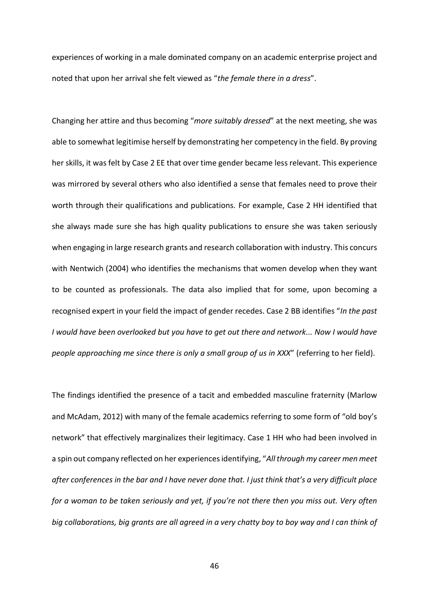experiences of working in a male dominated company on an academic enterprise project and noted that upon her arrival she felt viewed as "*the female there in a dress*".

Changing her attire and thus becoming "*more suitably dressed*" at the next meeting, she was able to somewhat legitimise herself by demonstrating her competency in the field. By proving her skills, it was felt by Case 2 EE that over time gender became less relevant. This experience was mirrored by several others who also identified a sense that females need to prove their worth through their qualifications and publications. For example, Case 2 HH identified that she always made sure she has high quality publications to ensure she was taken seriously when engaging in large research grants and research collaboration with industry. This concurs with Nentwich (2004) who identifies the mechanisms that women develop when they want to be counted as professionals. The data also implied that for some, upon becoming a recognised expert in your field the impact of gender recedes. Case 2 BB identifies "*In the past I would have been overlooked but you have to get out there and network... Now I would have people approaching me since there is only a small group of us in XXX*" (referring to her field).

The findings identified the presence of a tacit and embedded masculine fraternity (Marlow and McAdam, 2012) with many of the female academics referring to some form of "old boy's network" that effectively marginalizes their legitimacy. Case 1 HH who had been involved in a spin out company reflected on her experiences identifying, "*All through my career men meet after conferences in the bar and I have never done that. I just think that's a very difficult place for a woman to be taken seriously and yet, if you're not there then you miss out. Very often big collaborations, big grants are all agreed in a very chatty boy to boy way and I can think of*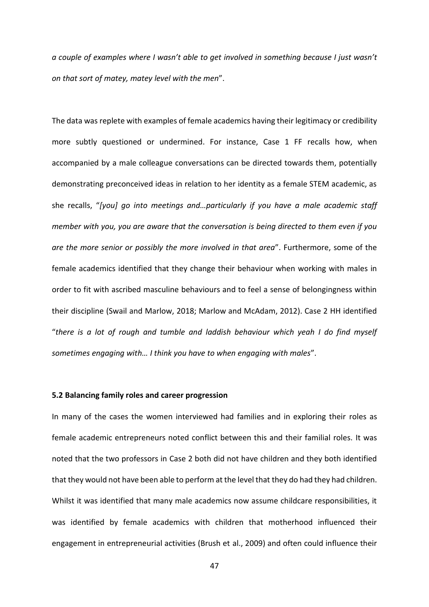*a couple of examples where I wasn't able to get involved in something because I just wasn't on that sort of matey, matey level with the men*".

The data was replete with examples of female academics having their legitimacy or credibility more subtly questioned or undermined. For instance, Case 1 FF recalls how, when accompanied by a male colleague conversations can be directed towards them, potentially demonstrating preconceived ideas in relation to her identity as a female STEM academic, as she recalls, "*[you] go into meetings and…particularly if you have a male academic staff member with you, you are aware that the conversation is being directed to them even if you are the more senior or possibly the more involved in that area*". Furthermore, some of the female academics identified that they change their behaviour when working with males in order to fit with ascribed masculine behaviours and to feel a sense of belongingness within their discipline (Swail and Marlow, 2018; Marlow and McAdam, 2012). Case 2 HH identified "*there is a lot of rough and tumble and laddish behaviour which yeah I do find myself sometimes engaging with… I think you have to when engaging with males*".

#### **5.2 Balancing family roles and career progression**

In many of the cases the women interviewed had families and in exploring their roles as female academic entrepreneurs noted conflict between this and their familial roles. It was noted that the two professors in Case 2 both did not have children and they both identified that they would not have been able to perform at the level that they do had they had children. Whilst it was identified that many male academics now assume childcare responsibilities, it was identified by female academics with children that motherhood influenced their engagement in entrepreneurial activities (Brush et al., 2009) and often could influence their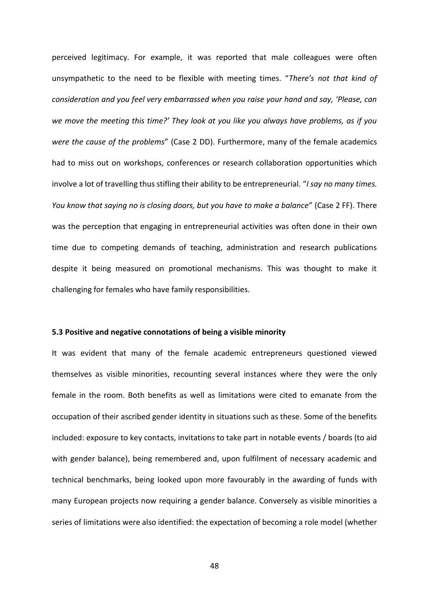perceived legitimacy. For example, it was reported that male colleagues were often unsympathetic to the need to be flexible with meeting times. "*There's not that kind of consideration and you feel very embarrassed when you raise your hand and say, 'Please, can we move the meeting this time?' They look at you like you always have problems, as if you were the cause of the problems*" (Case 2 DD). Furthermore, many of the female academics had to miss out on workshops, conferences or research collaboration opportunities which involve a lot of travelling thus stifling their ability to be entrepreneurial. "*I say no many times. You know that saying no is closing doors, but you have to make a balance*" (Case 2 FF). There was the perception that engaging in entrepreneurial activities was often done in their own time due to competing demands of teaching, administration and research publications despite it being measured on promotional mechanisms. This was thought to make it challenging for females who have family responsibilities.

#### **5.3 Positive and negative connotations of being a visible minority**

It was evident that many of the female academic entrepreneurs questioned viewed themselves as visible minorities, recounting several instances where they were the only female in the room. Both benefits as well as limitations were cited to emanate from the occupation of their ascribed gender identity in situations such as these. Some of the benefits included: exposure to key contacts, invitations to take part in notable events / boards (to aid with gender balance), being remembered and, upon fulfilment of necessary academic and technical benchmarks, being looked upon more favourably in the awarding of funds with many European projects now requiring a gender balance. Conversely as visible minorities a series of limitations were also identified: the expectation of becoming a role model (whether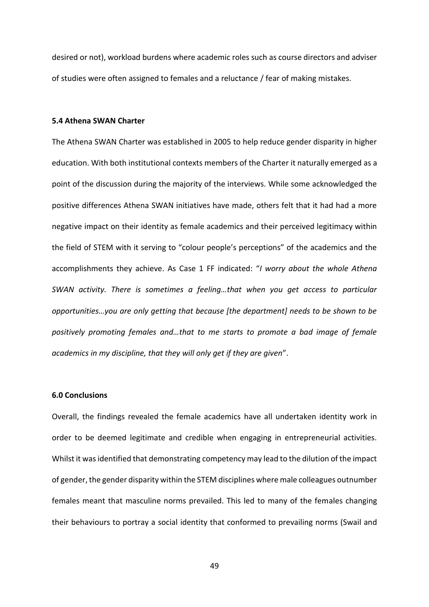desired or not), workload burdens where academic roles such as course directors and adviser of studies were often assigned to females and a reluctance / fear of making mistakes.

#### **5.4 Athena SWAN Charter**

The Athena SWAN Charter was established in 2005 to help reduce gender disparity in higher education. With both institutional contexts members of the Charter it naturally emerged as a point of the discussion during the majority of the interviews. While some acknowledged the positive differences Athena SWAN initiatives have made, others felt that it had had a more negative impact on their identity as female academics and their perceived legitimacy within the field of STEM with it serving to "colour people's perceptions" of the academics and the accomplishments they achieve. As Case 1 FF indicated: "*I worry about the whole Athena SWAN activity. There is sometimes a feeling…that when you get access to particular opportunities…you are only getting that because [the department] needs to be shown to be positively promoting females and…that to me starts to promote a bad image of female academics in my discipline, that they will only get if they are given*".

### **6.0 Conclusions**

Overall, the findings revealed the female academics have all undertaken identity work in order to be deemed legitimate and credible when engaging in entrepreneurial activities. Whilst it was identified that demonstrating competency may lead to the dilution of the impact of gender, the gender disparity within the STEM disciplines where male colleagues outnumber females meant that masculine norms prevailed. This led to many of the females changing their behaviours to portray a social identity that conformed to prevailing norms (Swail and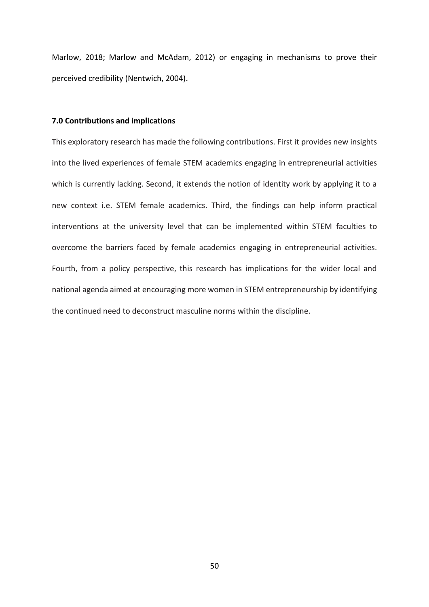Marlow, 2018; Marlow and McAdam, 2012) or engaging in mechanisms to prove their perceived credibility (Nentwich, 2004).

#### **7.0 Contributions and implications**

This exploratory research has made the following contributions. First it provides new insights into the lived experiences of female STEM academics engaging in entrepreneurial activities which is currently lacking. Second, it extends the notion of identity work by applying it to a new context i.e. STEM female academics. Third, the findings can help inform practical interventions at the university level that can be implemented within STEM faculties to overcome the barriers faced by female academics engaging in entrepreneurial activities. Fourth, from a policy perspective, this research has implications for the wider local and national agenda aimed at encouraging more women in STEM entrepreneurship by identifying the continued need to deconstruct masculine norms within the discipline.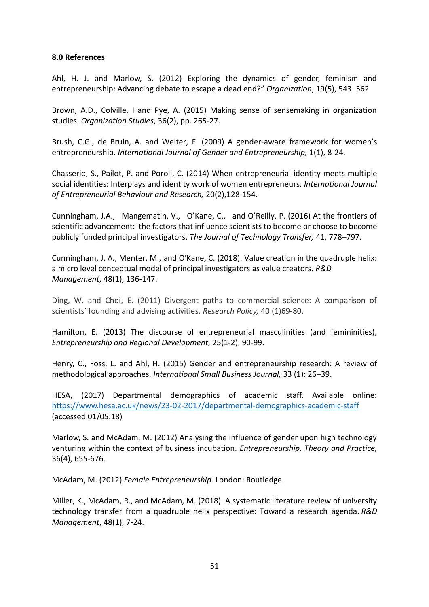# **8.0 References**

Ahl, H. J. and Marlow, S. (2012) Exploring the dynamics of gender, feminism and entrepreneurship: Advancing debate to escape a dead end?" *Organization*, 19(5), 543–562

Brown, A.D., Colville, I and Pye, A. (2015) Making sense of sensemaking in organization studies. *Organization Studies*, 36(2), pp. 265-27.

Brush, C.G., de Bruin, A. and Welter, F. (2009) A gender-aware framework for women's entrepreneurship. *International Journal of Gender and Entrepreneurship,* 1(1), 8-24.

Chasserio, S., Pailot, P. and Poroli, C. (2014) When entrepreneurial identity meets multiple social identities: Interplays and identity work of women entrepreneurs. *International Journal of Entrepreneurial Behaviour and Research,* 20(2),128-154.

Cunningham, J.A., Mangematin, V., O'Kane, C., and O'Reilly, P. (2016) At the frontiers of scientific advancement: the factors that influence scientists to become or choose to become publicly funded principal investigators. *The Journal of Technology Transfer,* 41, 778–797.

Cunningham, J. A., Menter, M., and O'Kane, C. (2018). Value creation in the quadruple helix: a micro level conceptual model of principal investigators as value creators. *R&D Management*, 48(1), 136-147.

Ding, W. and Choi, E. (2011) Divergent paths to commercial science: A comparison of scientists' founding and advising activities. *Research Policy,* 40 (1)69-80.

Hamilton, E. (2013) The discourse of entrepreneurial masculinities (and femininities), *Entrepreneurship and Regional Development,* 25(1‐2), 90‐99.

Henry, C., Foss, L. and Ahl, H. (2015) Gender and entrepreneurship research: A review of methodological approaches. *International Small Business Journal,* 33 (1): 26–39.

HESA, (2017) Departmental demographics of academic staff. Available online: [https://www.hesa.ac.uk/news/23‐02‐2017/departmental‐demographics‐academic‐staff](https://www.hesa.ac.uk/news/23-02-2017/departmental-demographics-academic-staff) (accessed 01/05.18)

Marlow, S. and McAdam, M. (2012) Analysing the influence of gender upon high technology venturing within the context of business incubation. *Entrepreneurship, Theory and Practice,* 36(4), 655‐676.

McAdam, M. (2012) *Female Entrepreneurship.* London: Routledge.

Miller, K., McAdam, R., and McAdam, M. (2018). A systematic literature review of university technology transfer from a quadruple helix perspective: Toward a research agenda. *R&D Management*, 48(1), 7-24.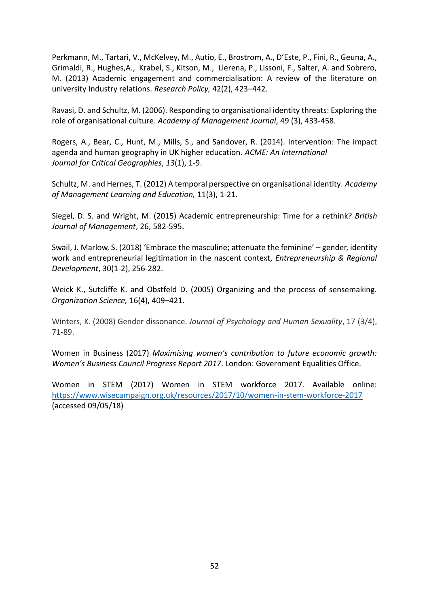Perkmann, M., Tartari, V., McKelvey, M., Autio, E., Brostrom, A., D'Este, P., Fini, R., Geuna, A., Grimaldi, R., Hughes,A., Krabel, S., Kitson, M., Llerena, P., Lissoni, F., Salter, A. and Sobrero, M. (2013) Academic engagement and commercialisation: A review of the literature on university Industry relations. *Research Policy,* 42(2), 423–442.

Ravasi, D. and Schultz, M. (2006). Responding to organisational identity threats: Exploring the role of organisational culture. *Academy of Management Journal*, 49 (3), 433-458.

Rogers, A., Bear, C., Hunt, M., Mills, S., and Sandover, R. (2014). Intervention: The impact agenda and human geography in UK higher education. *ACME: An International Journal for Critical Geographies*, *13*(1), 1-9.

Schultz, M. and Hernes, T. (2012) A temporal perspective on organisational identity. *Academy of Management Learning and Education,* 11(3), 1-21.

Siegel, D. S. and Wright, M. (2015) Academic entrepreneurship: Time for a rethink? *British Journal of Management*, 26, 582-595.

Swail, J. Marlow, S. (2018) 'Embrace the masculine; attenuate the feminine' – gender, identity work and entrepreneurial legitimation in the nascent context, *Entrepreneurship & Regional Development*, 30(1‐2), 256‐282.

Weick K., Sutcliffe K. and Obstfeld D. (2005) Organizing and the process of sensemaking. *Organization Science,* 16(4), 409–421.

Winters, K. (2008) Gender dissonance. *Journal of Psychology and Human Sexuality*, 17 (3/4), 71-89.

Women in Business (2017) *Maximising women's contribution to future economic growth: Women's Business Council Progress Report 2017*. London: Government Equalities Office.

Women in STEM (2017) Women in STEM workforce 2017. Available online: <https://www.wisecampaign.org.uk/resources/2017/10/women-in-stem-workforce-2017> (accessed 09/05/18)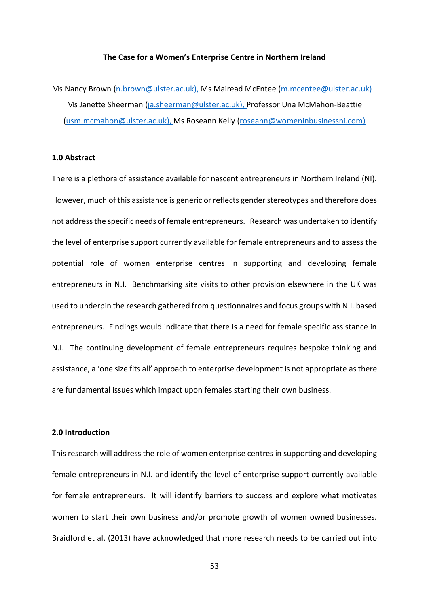# **The Case for a Women's Enterprise Centre in Northern Ireland**

Ms Nancy Brown [\(n.brown@ulster.ac.uk\)](mailto:n.brown@ulster.ac.uk), Ms Mairead McEntee [\(m.mcentee@ulster.ac.uk\)](mailto:m.mcentee@ulster.ac.uk) Ms Janette Sheerman [\(ja.sheerman@ulster.ac.uk\)](mailto:ja.sheerman@ulster.ac.uk), Professor Una McMahon-Beattie [\(usm.mcmahon@ulster.ac.uk\)](mailto:usm.mcmahon@ulster.ac.uk), Ms Roseann Kelly [\(roseann@womeninbusinessni.com\)](mailto:roseann@womeninbusinessni.com)

## **1.0 Abstract**

There is a plethora of assistance available for nascent entrepreneurs in Northern Ireland (NI). However, much of this assistance is generic or reflects gender stereotypes and therefore does not address the specific needs of female entrepreneurs. Research was undertaken to identify the level of enterprise support currently available for female entrepreneurs and to assess the potential role of women enterprise centres in supporting and developing female entrepreneurs in N.I. Benchmarking site visits to other provision elsewhere in the UK was used to underpin the research gathered from questionnaires and focus groups with N.I. based entrepreneurs. Findings would indicate that there is a need for female specific assistance in N.I. The continuing development of female entrepreneurs requires bespoke thinking and assistance, a 'one size fits all' approach to enterprise development is not appropriate as there are fundamental issues which impact upon females starting their own business.

### **2.0 Introduction**

This research will address the role of women enterprise centres in supporting and developing female entrepreneurs in N.I. and identify the level of enterprise support currently available for female entrepreneurs. It will identify barriers to success and explore what motivates women to start their own business and/or promote growth of women owned businesses. Braidford et al. (2013) have acknowledged that more research needs to be carried out into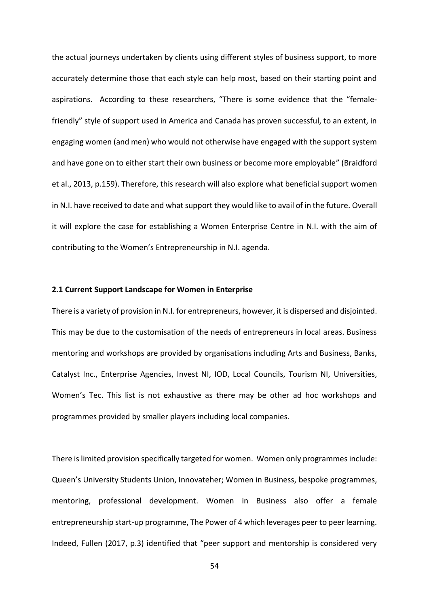the actual journeys undertaken by clients using different styles of business support, to more accurately determine those that each style can help most, based on their starting point and aspirations. According to these researchers, "There is some evidence that the "femalefriendly" style of support used in America and Canada has proven successful, to an extent, in engaging women (and men) who would not otherwise have engaged with the support system and have gone on to either start their own business or become more employable" (Braidford et al., 2013, p.159). Therefore, this research will also explore what beneficial support women in N.I. have received to date and what support they would like to avail of in the future. Overall it will explore the case for establishing a Women Enterprise Centre in N.I. with the aim of contributing to the Women's Entrepreneurship in N.I. agenda.

### **2.1 Current Support Landscape for Women in Enterprise**

There is a variety of provision in N.I. for entrepreneurs, however, it is dispersed and disjointed. This may be due to the customisation of the needs of entrepreneurs in local areas. Business mentoring and workshops are provided by organisations including Arts and Business, Banks, Catalyst Inc., Enterprise Agencies, Invest NI, IOD, Local Councils, Tourism NI, Universities, Women's Tec. This list is not exhaustive as there may be other ad hoc workshops and programmes provided by smaller players including local companies.

There is limited provision specifically targeted for women. Women only programmes include: Queen's University Students Union, Innovateher; Women in Business, bespoke programmes, mentoring, professional development. Women in Business also offer a female entrepreneurship start-up programme, The Power of 4 which leverages peer to peer learning. Indeed, Fullen (2017, p.3) identified that "peer support and mentorship is considered very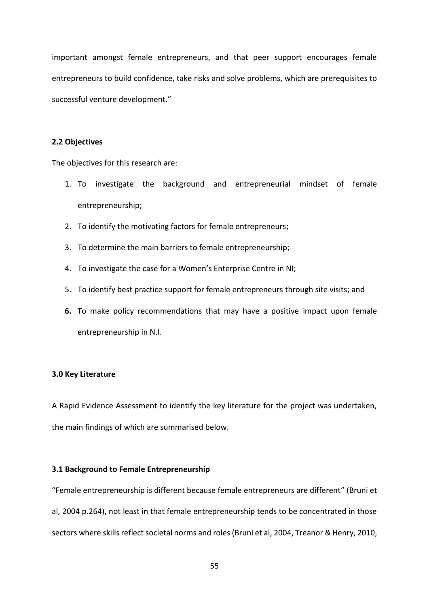important amongst female entrepreneurs, and that peer support encourages female entrepreneurs to build confidence, take risks and solve problems, which are prerequisites to successful venture development."

# **2.2 Objectives**

The objectives for this research are:

- 1. To investigate the background and entrepreneurial mindset of female entrepreneurship;
- 2. To identify the motivating factors for female entrepreneurs;
- 3. To determine the main barriers to female entrepreneurship;
- 4. To investigate the case for a Women's Enterprise Centre in NI;
- 5. To identify best practice support for female entrepreneurs through site visits; and
- **6.** To make policy recommendations that may have a positive impact upon female entrepreneurship in N.I.

# **3.0 Key Literature**

A Rapid Evidence Assessment to identify the key literature for the project was undertaken, the main findings of which are summarised below.

### **3.1 Background to Female Entrepreneurship**

"Female entrepreneurship is different because female entrepreneurs are different" (Bruni et al, 2004 p.264), not least in that female entrepreneurship tends to be concentrated in those sectors where skills reflect societal norms and roles (Bruni et al, 2004, Treanor & Henry, 2010,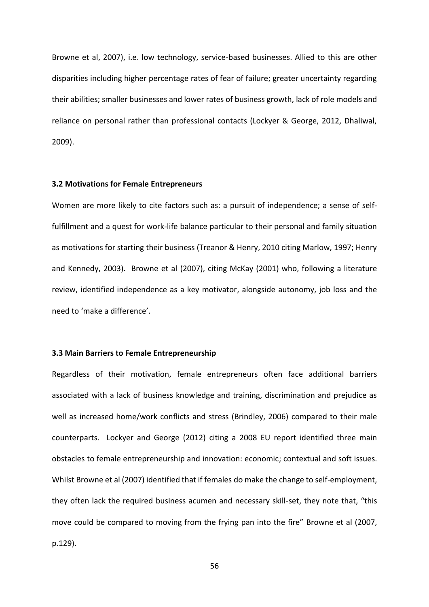Browne et al, 2007), i.e. low technology, service-based businesses. Allied to this are other disparities including higher percentage rates of fear of failure; greater uncertainty regarding their abilities; smaller businesses and lower rates of business growth, lack of role models and reliance on personal rather than professional contacts (Lockyer & George, 2012, Dhaliwal, 2009).

#### **3.2 Motivations for Female Entrepreneurs**

Women are more likely to cite factors such as: a pursuit of independence; a sense of selffulfillment and a quest for work-life balance particular to their personal and family situation as motivations for starting their business (Treanor & Henry, 2010 citing Marlow, 1997; Henry and Kennedy, 2003). Browne et al (2007), citing McKay (2001) who, following a literature review, identified independence as a key motivator, alongside autonomy, job loss and the need to 'make a difference'.

# **3.3 Main Barriers to Female Entrepreneurship**

Regardless of their motivation, female entrepreneurs often face additional barriers associated with a lack of business knowledge and training, discrimination and prejudice as well as increased home/work conflicts and stress (Brindley, 2006) compared to their male counterparts. Lockyer and George (2012) citing a 2008 EU report identified three main obstacles to female entrepreneurship and innovation: economic; contextual and soft issues. Whilst Browne et al (2007) identified that if females do make the change to self-employment, they often lack the required business acumen and necessary skill-set, they note that, "this move could be compared to moving from the frying pan into the fire" Browne et al (2007, p.129).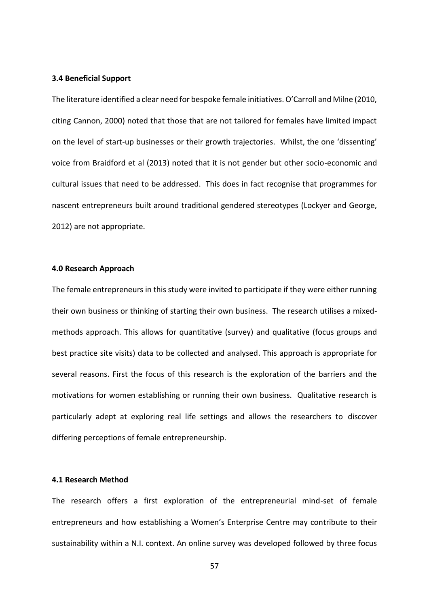#### **3.4 Beneficial Support**

The literature identified a clear need for bespoke female initiatives. O'Carroll and Milne (2010, citing Cannon, 2000) noted that those that are not tailored for females have limited impact on the level of start-up businesses or their growth trajectories. Whilst, the one 'dissenting' voice from Braidford et al (2013) noted that it is not gender but other socio-economic and cultural issues that need to be addressed. This does in fact recognise that programmes for nascent entrepreneurs built around traditional gendered stereotypes (Lockyer and George, 2012) are not appropriate.

#### **4.0 Research Approach**

The female entrepreneurs in this study were invited to participate if they were either running their own business or thinking of starting their own business. The research utilises a mixedmethods approach. This allows for quantitative (survey) and qualitative (focus groups and best practice site visits) data to be collected and analysed. This approach is appropriate for several reasons. First the focus of this research is the exploration of the barriers and the motivations for women establishing or running their own business. Qualitative research is particularly adept at exploring real life settings and allows the researchers to discover differing perceptions of female entrepreneurship.

# **4.1 Research Method**

The research offers a first exploration of the entrepreneurial mind-set of female entrepreneurs and how establishing a Women's Enterprise Centre may contribute to their sustainability within a N.I. context. An online survey was developed followed by three focus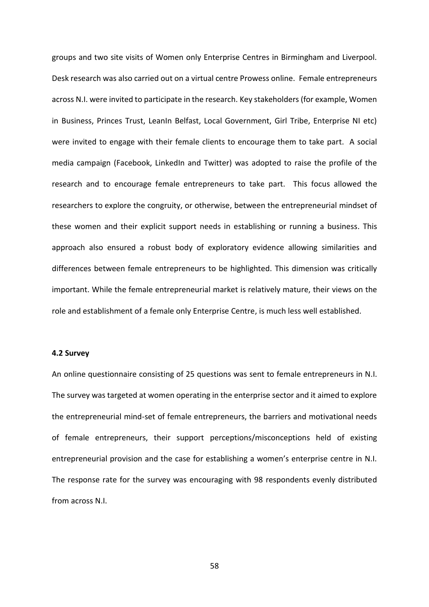groups and two site visits of Women only Enterprise Centres in Birmingham and Liverpool. Desk research was also carried out on a virtual centre Prowess online. Female entrepreneurs across N.I. were invited to participate in the research. Key stakeholders (for example, Women in Business, Princes Trust, LeanIn Belfast, Local Government, Girl Tribe, Enterprise NI etc) were invited to engage with their female clients to encourage them to take part. A social media campaign (Facebook, LinkedIn and Twitter) was adopted to raise the profile of the research and to encourage female entrepreneurs to take part. This focus allowed the researchers to explore the congruity, or otherwise, between the entrepreneurial mindset of these women and their explicit support needs in establishing or running a business. This approach also ensured a robust body of exploratory evidence allowing similarities and differences between female entrepreneurs to be highlighted. This dimension was critically important. While the female entrepreneurial market is relatively mature, their views on the role and establishment of a female only Enterprise Centre, is much less well established.

# **4.2 Survey**

An online questionnaire consisting of 25 questions was sent to female entrepreneurs in N.I. The survey was targeted at women operating in the enterprise sector and it aimed to explore the entrepreneurial mind-set of female entrepreneurs, the barriers and motivational needs of female entrepreneurs, their support perceptions/misconceptions held of existing entrepreneurial provision and the case for establishing a women's enterprise centre in N.I. The response rate for the survey was encouraging with 98 respondents evenly distributed from across N.I.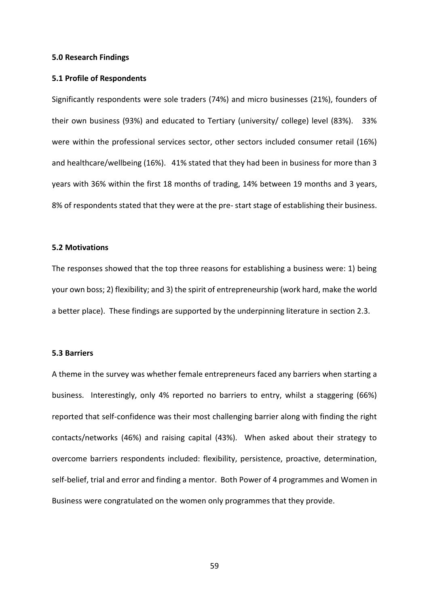#### **5.0 Research Findings**

#### **5.1 Profile of Respondents**

Significantly respondents were sole traders (74%) and micro businesses (21%), founders of their own business (93%) and educated to Tertiary (university/ college) level (83%). 33% were within the professional services sector, other sectors included consumer retail (16%) and healthcare/wellbeing (16%). 41% stated that they had been in business for more than 3 years with 36% within the first 18 months of trading, 14% between 19 months and 3 years, 8% of respondents stated that they were at the pre- start stage of establishing their business.

## **5.2 Motivations**

The responses showed that the top three reasons for establishing a business were: 1) being your own boss; 2) flexibility; and 3) the spirit of entrepreneurship (work hard, make the world a better place). These findings are supported by the underpinning literature in section 2.3.

## **5.3 Barriers**

A theme in the survey was whether female entrepreneurs faced any barriers when starting a business. Interestingly, only 4% reported no barriers to entry, whilst a staggering (66%) reported that self-confidence was their most challenging barrier along with finding the right contacts/networks (46%) and raising capital (43%). When asked about their strategy to overcome barriers respondents included: flexibility, persistence, proactive, determination, self-belief, trial and error and finding a mentor. Both Power of 4 programmes and Women in Business were congratulated on the women only programmes that they provide.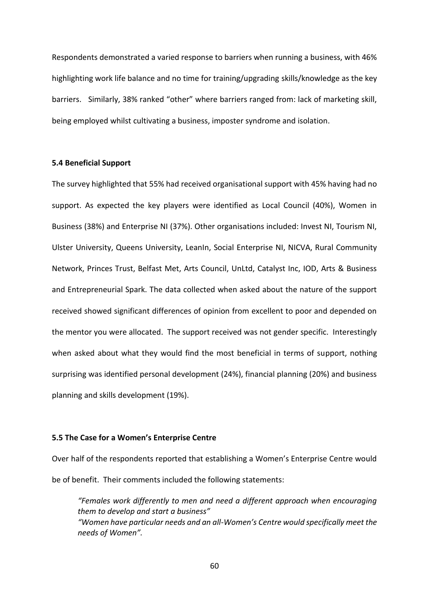Respondents demonstrated a varied response to barriers when running a business, with 46% highlighting work life balance and no time for training/upgrading skills/knowledge as the key barriers. Similarly, 38% ranked "other" where barriers ranged from: lack of marketing skill, being employed whilst cultivating a business, imposter syndrome and isolation.

## **5.4 Beneficial Support**

The survey highlighted that 55% had received organisational support with 45% having had no support. As expected the key players were identified as Local Council (40%), Women in Business (38%) and Enterprise NI (37%). Other organisations included: Invest NI, Tourism NI, Ulster University, Queens University, LeanIn, Social Enterprise NI, NICVA, Rural Community Network, Princes Trust, Belfast Met, Arts Council, UnLtd, Catalyst Inc, IOD, Arts & Business and Entrepreneurial Spark. The data collected when asked about the nature of the support received showed significant differences of opinion from excellent to poor and depended on the mentor you were allocated. The support received was not gender specific. Interestingly when asked about what they would find the most beneficial in terms of support, nothing surprising was identified personal development (24%), financial planning (20%) and business planning and skills development (19%).

# **5.5 The Case for a Women's Enterprise Centre**

Over half of the respondents reported that establishing a Women's Enterprise Centre would be of benefit. Their comments included the following statements:

*"Females work differently to men and need a different approach when encouraging them to develop and start a business" "Women have particular needs and an all-Women's Centre would specifically meet the needs of Women".*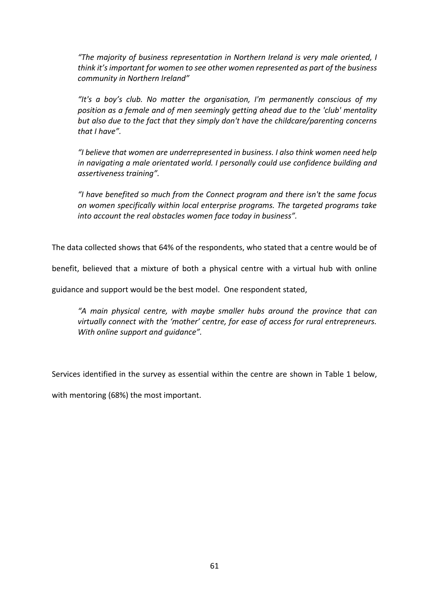*"The majority of business representation in Northern Ireland is very male oriented, I think it's important for women to see other women represented as part of the business community in Northern Ireland"*

*"It's a boy's club. No matter the organisation, I'm permanently conscious of my position as a female and of men seemingly getting ahead due to the 'club' mentality but also due to the fact that they simply don't have the childcare/parenting concerns that I have".*

*"I believe that women are underrepresented in business. I also think women need help in navigating a male orientated world. I personally could use confidence building and assertiveness training".*

*"I have benefited so much from the Connect program and there isn't the same focus on women specifically within local enterprise programs. The targeted programs take into account the real obstacles women face today in business".*

The data collected shows that 64% of the respondents, who stated that a centre would be of

benefit, believed that a mixture of both a physical centre with a virtual hub with online

guidance and support would be the best model. One respondent stated,

*"A main physical centre, with maybe smaller hubs around the province that can virtually connect with the 'mother' centre, for ease of access for rural entrepreneurs. With online support and guidance".*

Services identified in the survey as essential within the centre are shown in Table 1 below,

with mentoring (68%) the most important.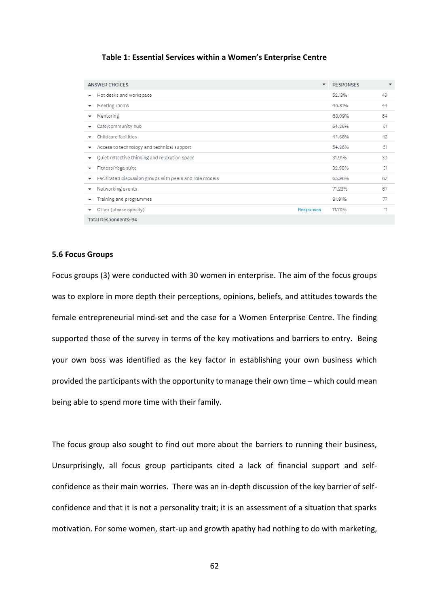#### **Table 1: Essential Services within a Women's Enterprise Centre**

| <b>ANSWER CHOICES</b>                                                    | <b>RESPONSES</b> | $\checkmark$ |
|--------------------------------------------------------------------------|------------------|--------------|
| Hot desks and workspace<br>$\overline{\phantom{a}}$                      | 49<br>52.13%     |              |
| Meeting rooms<br>$\checkmark$                                            | 46.81%<br>44     |              |
| Mentoring<br>$\overline{\phantom{a}}$                                    | 64<br>68.09%     |              |
| Cafe/community hub<br>▼                                                  | 51<br>54.26%     |              |
| Childcare facilities<br>$\overline{\phantom{a}}$                         | 44.68%<br>42     |              |
| Access to technology and technical support<br>▼                          | 51<br>54.26%     |              |
| Quiet reflective thinking and relaxation space<br>▼                      | 30<br>31.91%     |              |
| Fitness/Yoga suite<br>▼                                                  | 31<br>32.98%     |              |
| Facilitated discussion groups with peers and role models<br>$\checkmark$ | 62<br>65.96%     |              |
| Networking events<br>٠                                                   | 71.28%<br>67     |              |
| Training and programmes<br>$\overline{\phantom{a}}$                      | 77<br>81.91%     |              |
| Other (please specify)<br>Responses<br>٠                                 | 11<br>11.70%     |              |
| <b>Total Respondents: 94</b>                                             |                  |              |

#### **5.6 Focus Groups**

Focus groups (3) were conducted with 30 women in enterprise. The aim of the focus groups was to explore in more depth their perceptions, opinions, beliefs, and attitudes towards the female entrepreneurial mind-set and the case for a Women Enterprise Centre. The finding supported those of the survey in terms of the key motivations and barriers to entry. Being your own boss was identified as the key factor in establishing your own business which provided the participants with the opportunity to manage their own time – which could mean being able to spend more time with their family.

The focus group also sought to find out more about the barriers to running their business, Unsurprisingly, all focus group participants cited a lack of financial support and selfconfidence as their main worries. There was an in-depth discussion of the key barrier of selfconfidence and that it is not a personality trait; it is an assessment of a situation that sparks motivation. For some women, start-up and growth apathy had nothing to do with marketing,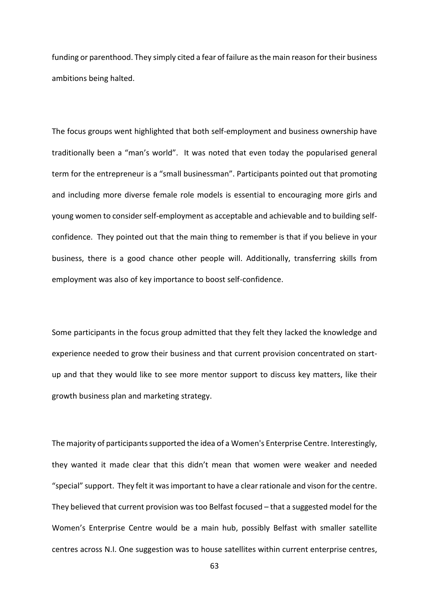funding or parenthood. They simply cited a fear of failure as the main reason for their business ambitions being halted.

The focus groups went highlighted that both self-employment and business ownership have traditionally been a "man's world". It was noted that even today the popularised general term for the entrepreneur is a "small businessman". Participants pointed out that promoting and including more diverse female role models is essential to encouraging more girls and young women to consider self-employment as acceptable and achievable and to building selfconfidence. They pointed out that the main thing to remember is that if you believe in your business, there is a good chance other people will. Additionally, transferring skills from employment was also of key importance to boost self-confidence.

Some participants in the focus group admitted that they felt they lacked the knowledge and experience needed to grow their business and that current provision concentrated on startup and that they would like to see more mentor support to discuss key matters, like their growth business plan and marketing strategy.

The majority of participants supported the idea of a Women's Enterprise Centre. Interestingly, they wanted it made clear that this didn't mean that women were weaker and needed "special" support. They felt it was important to have a clear rationale and vison for the centre. They believed that current provision was too Belfast focused – that a suggested model for the Women's Enterprise Centre would be a main hub, possibly Belfast with smaller satellite centres across N.I. One suggestion was to house satellites within current enterprise centres,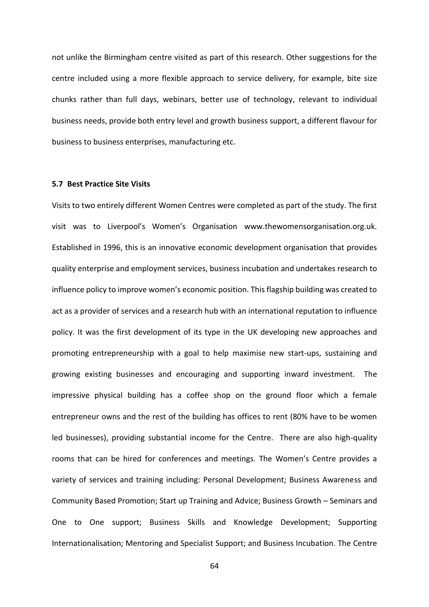not unlike the Birmingham centre visited as part of this research. Other suggestions for the centre included using a more flexible approach to service delivery, for example, bite size chunks rather than full days, webinars, better use of technology, relevant to individual business needs, provide both entry level and growth business support, a different flavour for business to business enterprises, manufacturing etc.

#### **5.7 Best Practice Site Visits**

Visits to two entirely different Women Centres were completed as part of the study. The first visit was to Liverpool's Women's Organisation www.thewomensorganisation.org.uk. Established in 1996, this is an innovative economic development organisation that provides quality enterprise and employment services, business incubation and undertakes research to influence policy to improve women's economic position. This flagship building was created to act as a provider of services and a research hub with an international reputation to influence policy. It was the first development of its type in the UK developing new approaches and promoting entrepreneurship with a goal to help maximise new start-ups, sustaining and growing existing businesses and encouraging and supporting inward investment. The impressive physical building has a coffee shop on the ground floor which a female entrepreneur owns and the rest of the building has offices to rent (80% have to be women led businesses), providing substantial income for the Centre. There are also high-quality rooms that can be hired for conferences and meetings. The Women's Centre provides a variety of services and training including: Personal Development; Business Awareness and Community Based Promotion; Start up Training and Advice; Business Growth – Seminars and One to One support; Business Skills and Knowledge Development; Supporting Internationalisation; Mentoring and Specialist Support; and Business Incubation. The Centre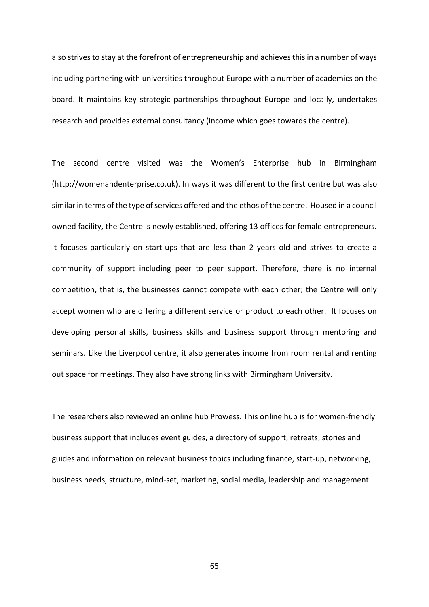also strives to stay at the forefront of entrepreneurship and achieves this in a number of ways including partnering with universities throughout Europe with a number of academics on the board. It maintains key strategic partnerships throughout Europe and locally, undertakes research and provides external consultancy (income which goes towards the centre).

The second centre visited was the Women's Enterprise hub in Birmingham (http://womenandenterprise.co.uk). In ways it was different to the first centre but was also similar in terms of the type of services offered and the ethos of the centre. Housed in a council owned facility, the Centre is newly established, offering 13 offices for female entrepreneurs. It focuses particularly on start-ups that are less than 2 years old and strives to create a community of support including peer to peer support. Therefore, there is no internal competition, that is, the businesses cannot compete with each other; the Centre will only accept women who are offering a different service or product to each other. It focuses on developing personal skills, business skills and business support through mentoring and seminars. Like the Liverpool centre, it also generates income from room rental and renting out space for meetings. They also have strong links with Birmingham University.

The researchers also reviewed an online hub Prowess. This online hub is for women-friendly business support that includes event guides, a directory of support, retreats, stories and guides and information on relevant business topics including finance, start-up, networking, business needs, structure, mind-set, marketing, social media, leadership and management.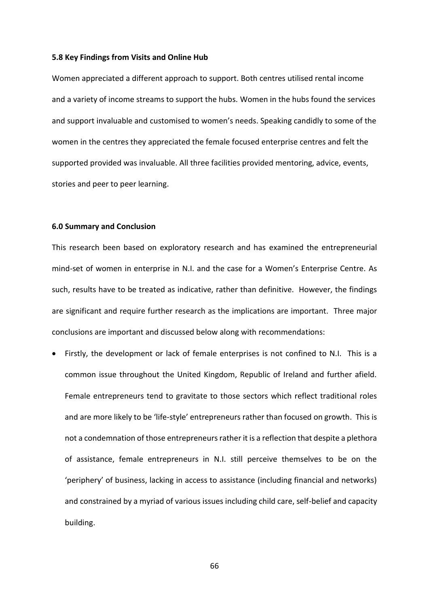#### **5.8 Key Findings from Visits and Online Hub**

Women appreciated a different approach to support. Both centres utilised rental income and a variety of income streams to support the hubs. Women in the hubs found the services and support invaluable and customised to women's needs. Speaking candidly to some of the women in the centres they appreciated the female focused enterprise centres and felt the supported provided was invaluable. All three facilities provided mentoring, advice, events, stories and peer to peer learning.

#### **6.0 Summary and Conclusion**

This research been based on exploratory research and has examined the entrepreneurial mind-set of women in enterprise in N.I. and the case for a Women's Enterprise Centre. As such, results have to be treated as indicative, rather than definitive. However, the findings are significant and require further research as the implications are important. Three major conclusions are important and discussed below along with recommendations:

• Firstly, the development or lack of female enterprises is not confined to N.I. This is a common issue throughout the United Kingdom, Republic of Ireland and further afield. Female entrepreneurs tend to gravitate to those sectors which reflect traditional roles and are more likely to be 'life-style' entrepreneurs rather than focused on growth. This is not a condemnation of those entrepreneurs rather it is a reflection that despite a plethora of assistance, female entrepreneurs in N.I. still perceive themselves to be on the 'periphery' of business, lacking in access to assistance (including financial and networks) and constrained by a myriad of various issues including child care, self-belief and capacity building.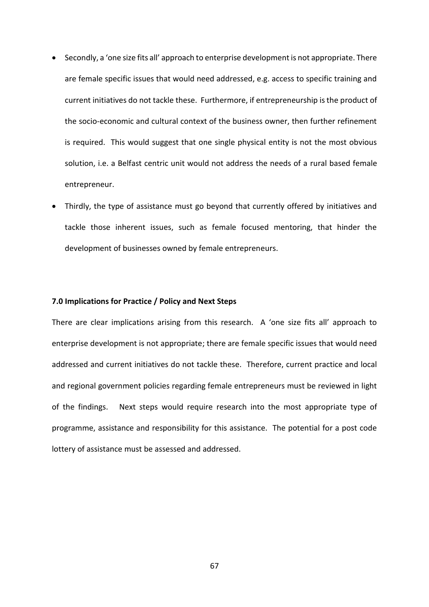- Secondly, a 'one size fits all' approach to enterprise development is not appropriate. There are female specific issues that would need addressed, e.g. access to specific training and current initiatives do not tackle these. Furthermore, if entrepreneurship is the product of the socio-economic and cultural context of the business owner, then further refinement is required. This would suggest that one single physical entity is not the most obvious solution, i.e. a Belfast centric unit would not address the needs of a rural based female entrepreneur.
- Thirdly, the type of assistance must go beyond that currently offered by initiatives and tackle those inherent issues, such as female focused mentoring, that hinder the development of businesses owned by female entrepreneurs.

#### **7.0 Implications for Practice / Policy and Next Steps**

There are clear implications arising from this research. A 'one size fits all' approach to enterprise development is not appropriate; there are female specific issues that would need addressed and current initiatives do not tackle these. Therefore, current practice and local and regional government policies regarding female entrepreneurs must be reviewed in light of the findings. Next steps would require research into the most appropriate type of programme, assistance and responsibility for this assistance. The potential for a post code lottery of assistance must be assessed and addressed.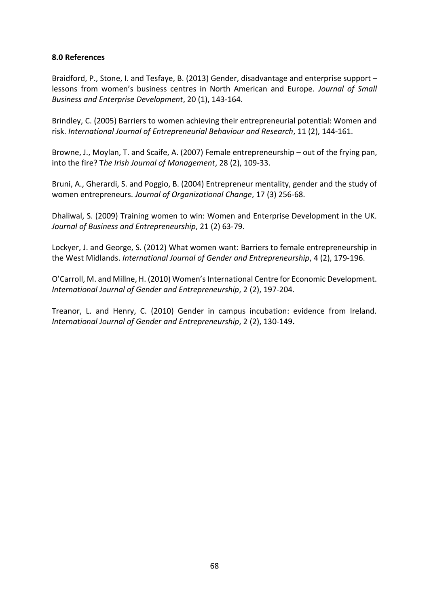# **8.0 References**

Braidford, P., Stone, I. and Tesfaye, B. (2013) Gender, disadvantage and enterprise support – lessons from women's business centres in North American and Europe. *Journal of Small Business and Enterprise Development*, 20 (1), 143-164.

Brindley, C. (2005) Barriers to women achieving their entrepreneurial potential: Women and risk. *International Journal of Entrepreneurial Behaviour and Research*, 11 (2), 144-161.

Browne, J., Moylan, T. and Scaife, A. (2007) Female entrepreneurship – out of the frying pan, into the fire? T*he Irish Journal of Management*, 28 (2), 109-33.

Bruni, A., Gherardi, S. and Poggio, B. (2004) Entrepreneur mentality, gender and the study of women entrepreneurs. *Journal of Organizational Change*, 17 (3) 256-68.

Dhaliwal, S. (2009) Training women to win: Women and Enterprise Development in the UK. *Journal of Business and Entrepreneurship*, 21 (2) 63-79.

Lockyer, J. and George, S. (2012) What women want: Barriers to female entrepreneurship in the West Midlands. *International Journal of Gender and Entrepreneurship*, 4 (2), 179-196.

O'Carroll, M. and Millne, H. (2010) Women's International Centre for Economic Development. *International Journal of Gender and Entrepreneurship*, 2 (2), 197-204.

Treanor, L. and Henry, C. (2010) Gender in campus incubation: evidence from Ireland. *International Journal of Gender and Entrepreneurship*, 2 (2), 130-149**.**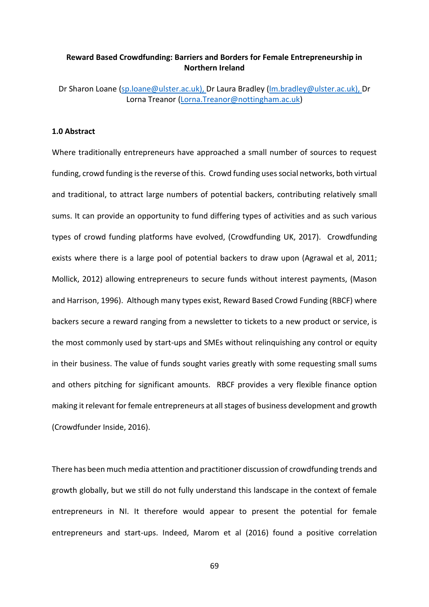# **Reward Based Crowdfunding: Barriers and Borders for Female Entrepreneurship in Northern Ireland**

Dr Sharon Loane [\(sp.loane@ulster.ac.uk\)](mailto:sp.loane@ulster.ac.uk), Dr Laura Bradley [\(lm.bradley@ulster.ac.uk\)](mailto:lm.bradley@ulster.ac.uk), Dr Lorna Treanor [\(Lorna.Treanor@nottingham.ac.uk\)](mailto:Lorna.Treanor@nottingham.ac.uk)

# **1.0 Abstract**

Where traditionally entrepreneurs have approached a small number of sources to request funding, crowd funding is the reverse of this. Crowd funding uses social networks, both virtual and traditional, to attract large numbers of potential backers, contributing relatively small sums. It can provide an opportunity to fund differing types of activities and as such various types of crowd funding platforms have evolved, (Crowdfunding UK, 2017). Crowdfunding exists where there is a large pool of potential backers to draw upon (Agrawal et al, 2011; Mollick, 2012) allowing entrepreneurs to secure funds without interest payments, (Mason and Harrison, 1996). Although many types exist, Reward Based Crowd Funding (RBCF) where backers secure a reward ranging from a newsletter to tickets to a new product or service, is the most commonly used by start-ups and SMEs without relinquishing any control or equity in their business. The value of funds sought varies greatly with some requesting small sums and others pitching for significant amounts. RBCF provides a very flexible finance option making it relevant for female entrepreneurs at all stages of business development and growth (Crowdfunder Inside, 2016).

There has been much media attention and practitioner discussion of crowdfunding trends and growth globally, but we still do not fully understand this landscape in the context of female entrepreneurs in NI. It therefore would appear to present the potential for female entrepreneurs and start-ups. Indeed, Marom et al (2016) found a positive correlation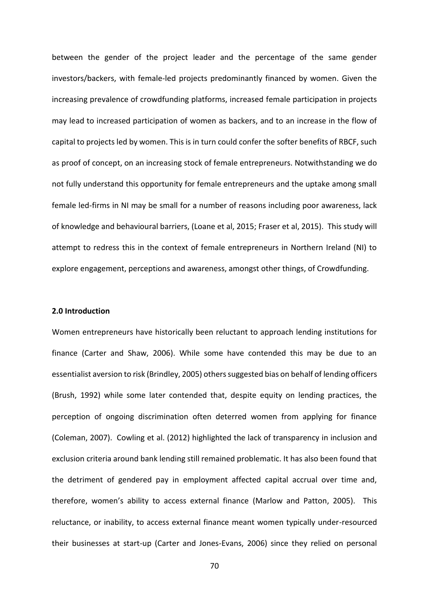between the gender of the project leader and the percentage of the same gender investors/backers, with female-led projects predominantly financed by women. Given the increasing prevalence of crowdfunding platforms, increased female participation in projects may lead to increased participation of women as backers, and to an increase in the flow of capital to projects led by women. This is in turn could confer the softer benefits of RBCF, such as proof of concept, on an increasing stock of female entrepreneurs. Notwithstanding we do not fully understand this opportunity for female entrepreneurs and the uptake among small female led-firms in NI may be small for a number of reasons including poor awareness, lack of knowledge and behavioural barriers, (Loane et al, 2015; Fraser et al, 2015). This study will attempt to redress this in the context of female entrepreneurs in Northern Ireland (NI) to explore engagement, perceptions and awareness, amongst other things, of Crowdfunding.

## **2.0 Introduction**

Women entrepreneurs have historically been reluctant to approach lending institutions for finance (Carter and Shaw, 2006). While some have contended this may be due to an essentialist aversion to risk (Brindley, 2005) others suggested bias on behalf of lending officers (Brush, 1992) while some later contended that, despite equity on lending practices, the perception of ongoing discrimination often deterred women from applying for finance (Coleman, 2007). Cowling et al. (2012) highlighted the lack of transparency in inclusion and exclusion criteria around bank lending still remained problematic. It has also been found that the detriment of gendered pay in employment affected capital accrual over time and, therefore, women's ability to access external finance (Marlow and Patton, 2005). This reluctance, or inability, to access external finance meant women typically under-resourced their businesses at start-up (Carter and Jones-Evans, 2006) since they relied on personal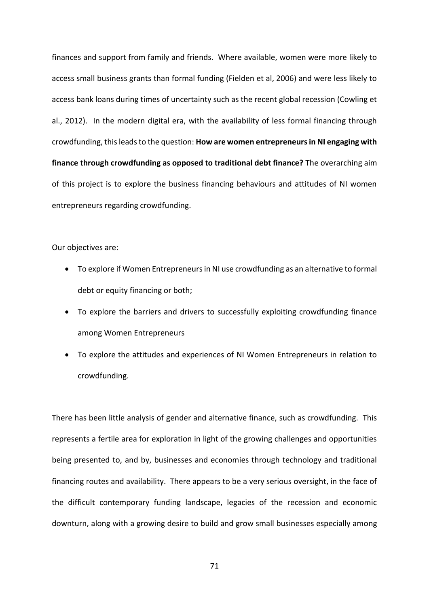finances and support from family and friends. Where available, women were more likely to access small business grants than formal funding (Fielden et al, 2006) and were less likely to access bank loans during times of uncertainty such as the recent global recession (Cowling et al., 2012). In the modern digital era, with the availability of less formal financing through crowdfunding, this leads to the question: **How are women entrepreneurs in NI engaging with finance through crowdfunding as opposed to traditional debt finance?** The overarching aim of this project is to explore the business financing behaviours and attitudes of NI women entrepreneurs regarding crowdfunding.

Our objectives are:

- To explore if Women Entrepreneurs in NI use crowdfunding as an alternative to formal debt or equity financing or both;
- To explore the barriers and drivers to successfully exploiting crowdfunding finance among Women Entrepreneurs
- To explore the attitudes and experiences of NI Women Entrepreneurs in relation to crowdfunding.

There has been little analysis of gender and alternative finance, such as crowdfunding. This represents a fertile area for exploration in light of the growing challenges and opportunities being presented to, and by, businesses and economies through technology and traditional financing routes and availability. There appears to be a very serious oversight, in the face of the difficult contemporary funding landscape, legacies of the recession and economic downturn, along with a growing desire to build and grow small businesses especially among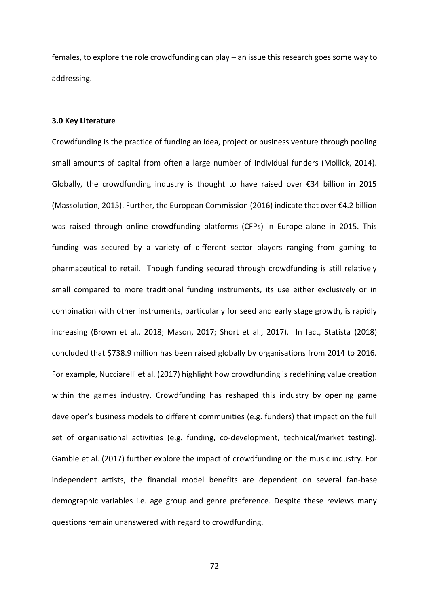females, to explore the role crowdfunding can play – an issue this research goes some way to addressing.

#### **3.0 Key Literature**

Crowdfunding is the practice of funding an idea, project or business venture through pooling small amounts of capital from often a large number of individual funders (Mollick, 2014). Globally, the crowdfunding industry is thought to have raised over €34 billion in 2015 (Massolution, 2015). Further, the European Commission (2016) indicate that over €4.2 billion was raised through online crowdfunding platforms (CFPs) in Europe alone in 2015. This funding was secured by a variety of different sector players ranging from gaming to pharmaceutical to retail. Though funding secured through crowdfunding is still relatively small compared to more traditional funding instruments, its use either exclusively or in combination with other instruments, particularly for seed and early stage growth, is rapidly increasing (Brown et al., 2018; Mason, 2017; Short et al., 2017). In fact, Statista (2018) concluded that \$738.9 million has been raised globally by organisations from 2014 to 2016. For example, Nucciarelli et al. (2017) highlight how crowdfunding is redefining value creation within the games industry. Crowdfunding has reshaped this industry by opening game developer's business models to different communities (e.g. funders) that impact on the full set of organisational activities (e.g. funding, co-development, technical/market testing). Gamble et al. (2017) further explore the impact of crowdfunding on the music industry. For independent artists, the financial model benefits are dependent on several fan-base demographic variables i.e. age group and genre preference. Despite these reviews many questions remain unanswered with regard to crowdfunding.

72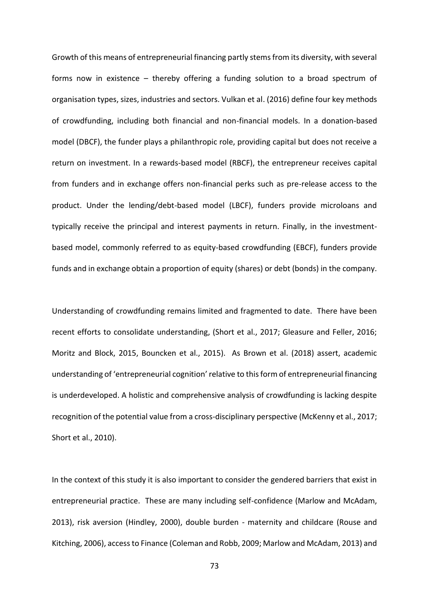Growth of this means of entrepreneurial financing partly stems from its diversity, with several forms now in existence – thereby offering a funding solution to a broad spectrum of organisation types, sizes, industries and sectors. Vulkan et al. (2016) define four key methods of crowdfunding, including both financial and non-financial models. In a donation-based model (DBCF), the funder plays a philanthropic role, providing capital but does not receive a return on investment. In a rewards-based model (RBCF), the entrepreneur receives capital from funders and in exchange offers non-financial perks such as pre-release access to the product. Under the lending/debt-based model (LBCF), funders provide microloans and typically receive the principal and interest payments in return. Finally, in the investmentbased model, commonly referred to as equity-based crowdfunding (EBCF), funders provide funds and in exchange obtain a proportion of equity (shares) or debt (bonds) in the company.

Understanding of crowdfunding remains limited and fragmented to date. There have been recent efforts to consolidate understanding, (Short et al., 2017; Gleasure and Feller, 2016; Moritz and Block, 2015, Bouncken et al., 2015). As Brown et al. (2018) assert, academic understanding of 'entrepreneurial cognition' relative to this form of entrepreneurial financing is underdeveloped. A holistic and comprehensive analysis of crowdfunding is lacking despite recognition of the potential value from a cross-disciplinary perspective (McKenny et al., 2017; Short et al., 2010).

In the context of this study it is also important to consider the gendered barriers that exist in entrepreneurial practice. These are many including self-confidence (Marlow and McAdam, 2013), risk aversion (Hindley, 2000), double burden - maternity and childcare (Rouse and Kitching, 2006), access to Finance (Coleman and Robb, 2009; Marlow and McAdam, 2013) and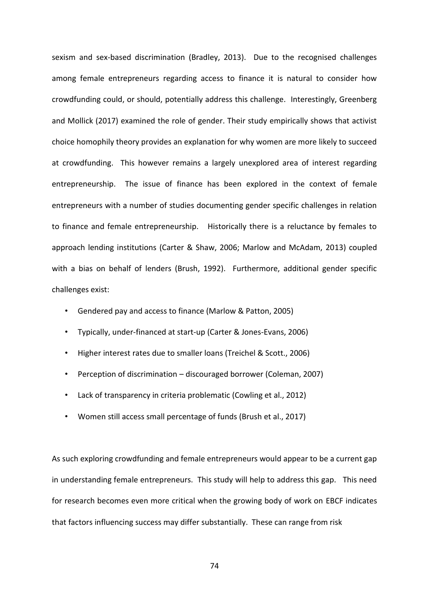sexism and sex-based discrimination (Bradley, 2013). Due to the recognised challenges among female entrepreneurs regarding access to finance it is natural to consider how crowdfunding could, or should, potentially address this challenge. Interestingly, Greenberg and Mollick (2017) examined the role of gender. Their study empirically shows that activist choice homophily theory provides an explanation for why women are more likely to succeed at crowdfunding. This however remains a largely unexplored area of interest regarding entrepreneurship. The issue of finance has been explored in the context of female entrepreneurs with a number of studies documenting gender specific challenges in relation to finance and female entrepreneurship. Historically there is a reluctance by females to approach lending institutions (Carter & Shaw, 2006; Marlow and McAdam, 2013) coupled with a bias on behalf of lenders (Brush, 1992). Furthermore, additional gender specific challenges exist:

- Gendered pay and access to finance (Marlow & Patton, 2005)
- Typically, under-financed at start-up (Carter & Jones-Evans, 2006)
- Higher interest rates due to smaller loans (Treichel & Scott., 2006)
- Perception of discrimination discouraged borrower (Coleman, 2007)
- Lack of transparency in criteria problematic (Cowling et al., 2012)
- Women still access small percentage of funds (Brush et al., 2017)

As such exploring crowdfunding and female entrepreneurs would appear to be a current gap in understanding female entrepreneurs. This study will help to address this gap. This need for research becomes even more critical when the growing body of work on EBCF indicates that factors influencing success may differ substantially. These can range from risk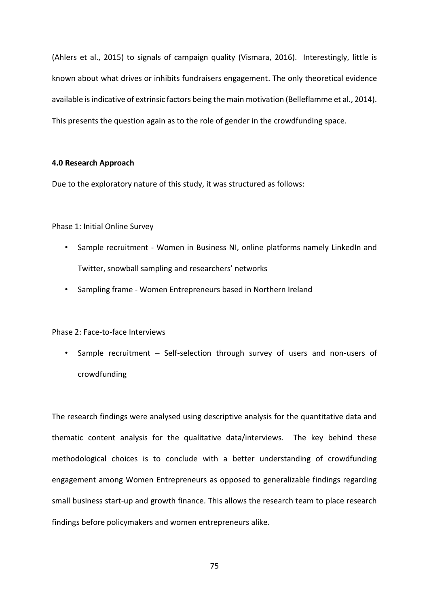(Ahlers et al., 2015) to signals of campaign quality (Vismara, 2016). Interestingly, little is known about what drives or inhibits fundraisers engagement. The only theoretical evidence available is indicative of extrinsic factors being the main motivation (Belleflamme et al., 2014). This presents the question again as to the role of gender in the crowdfunding space.

# **4.0 Research Approach**

Due to the exploratory nature of this study, it was structured as follows:

Phase 1: Initial Online Survey

- Sample recruitment Women in Business NI, online platforms namely LinkedIn and Twitter, snowball sampling and researchers' networks
- Sampling frame Women Entrepreneurs based in Northern Ireland

Phase 2: Face-to-face Interviews

• Sample recruitment – Self-selection through survey of users and non-users of crowdfunding

The research findings were analysed using descriptive analysis for the quantitative data and thematic content analysis for the qualitative data/interviews. The key behind these methodological choices is to conclude with a better understanding of crowdfunding engagement among Women Entrepreneurs as opposed to generalizable findings regarding small business start-up and growth finance. This allows the research team to place research findings before policymakers and women entrepreneurs alike.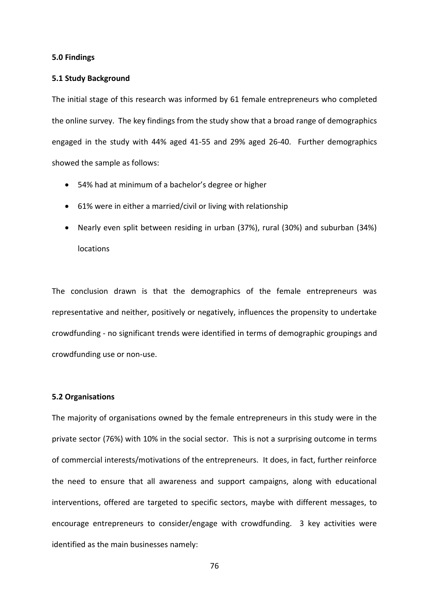# **5.0 Findings**

# **5.1 Study Background**

The initial stage of this research was informed by 61 female entrepreneurs who completed the online survey. The key findings from the study show that a broad range of demographics engaged in the study with 44% aged 41-55 and 29% aged 26-40. Further demographics showed the sample as follows:

- 54% had at minimum of a bachelor's degree or higher
- 61% were in either a married/civil or living with relationship
- Nearly even split between residing in urban (37%), rural (30%) and suburban (34%) locations

The conclusion drawn is that the demographics of the female entrepreneurs was representative and neither, positively or negatively, influences the propensity to undertake crowdfunding - no significant trends were identified in terms of demographic groupings and crowdfunding use or non-use.

#### **5.2 Organisations**

The majority of organisations owned by the female entrepreneurs in this study were in the private sector (76%) with 10% in the social sector. This is not a surprising outcome in terms of commercial interests/motivations of the entrepreneurs. It does, in fact, further reinforce the need to ensure that all awareness and support campaigns, along with educational interventions, offered are targeted to specific sectors, maybe with different messages, to encourage entrepreneurs to consider/engage with crowdfunding. 3 key activities were identified as the main businesses namely: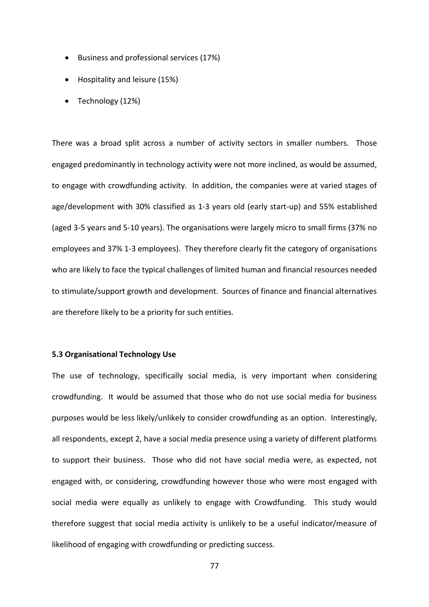- Business and professional services (17%)
- Hospitality and leisure (15%)
- Technology (12%)

There was a broad split across a number of activity sectors in smaller numbers. Those engaged predominantly in technology activity were not more inclined, as would be assumed, to engage with crowdfunding activity. In addition, the companies were at varied stages of age/development with 30% classified as 1-3 years old (early start-up) and 55% established (aged 3-5 years and 5-10 years). The organisations were largely micro to small firms (37% no employees and 37% 1-3 employees). They therefore clearly fit the category of organisations who are likely to face the typical challenges of limited human and financial resources needed to stimulate/support growth and development. Sources of finance and financial alternatives are therefore likely to be a priority for such entities.

# **5.3 Organisational Technology Use**

The use of technology, specifically social media, is very important when considering crowdfunding. It would be assumed that those who do not use social media for business purposes would be less likely/unlikely to consider crowdfunding as an option. Interestingly, all respondents, except 2, have a social media presence using a variety of different platforms to support their business. Those who did not have social media were, as expected, not engaged with, or considering, crowdfunding however those who were most engaged with social media were equally as unlikely to engage with Crowdfunding. This study would therefore suggest that social media activity is unlikely to be a useful indicator/measure of likelihood of engaging with crowdfunding or predicting success.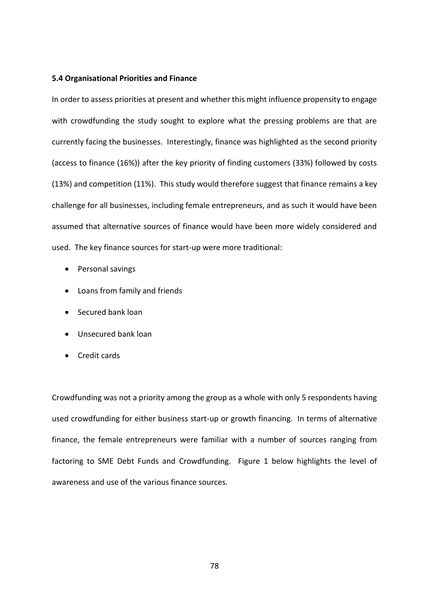# **5.4 Organisational Priorities and Finance**

In order to assess priorities at present and whether this might influence propensity to engage with crowdfunding the study sought to explore what the pressing problems are that are currently facing the businesses. Interestingly, finance was highlighted as the second priority (access to finance (16%)) after the key priority of finding customers (33%) followed by costs (13%) and competition (11%). This study would therefore suggest that finance remains a key challenge for all businesses, including female entrepreneurs, and as such it would have been assumed that alternative sources of finance would have been more widely considered and used. The key finance sources for start-up were more traditional:

- Personal savings
- Loans from family and friends
- Secured bank loan
- Unsecured bank loan
- Credit cards

Crowdfunding was not a priority among the group as a whole with only 5 respondents having used crowdfunding for either business start-up or growth financing. In terms of alternative finance, the female entrepreneurs were familiar with a number of sources ranging from factoring to SME Debt Funds and Crowdfunding. Figure 1 below highlights the level of awareness and use of the various finance sources.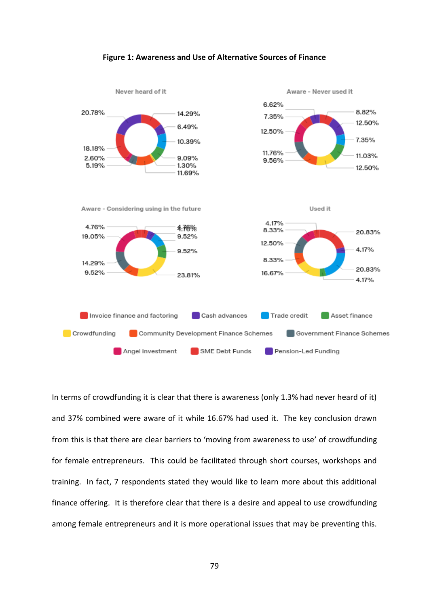



In terms of crowdfunding it is clear that there is awareness (only 1.3% had never heard of it) and 37% combined were aware of it while 16.67% had used it. The key conclusion drawn from this is that there are clear barriers to 'moving from awareness to use' of crowdfunding for female entrepreneurs. This could be facilitated through short courses, workshops and training. In fact, 7 respondents stated they would like to learn more about this additional finance offering. It is therefore clear that there is a desire and appeal to use crowdfunding among female entrepreneurs and it is more operational issues that may be preventing this.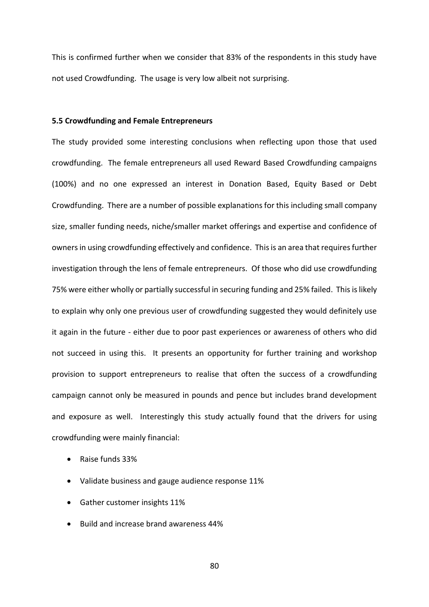This is confirmed further when we consider that 83% of the respondents in this study have not used Crowdfunding. The usage is very low albeit not surprising.

#### **5.5 Crowdfunding and Female Entrepreneurs**

The study provided some interesting conclusions when reflecting upon those that used crowdfunding. The female entrepreneurs all used Reward Based Crowdfunding campaigns (100%) and no one expressed an interest in Donation Based, Equity Based or Debt Crowdfunding. There are a number of possible explanations for this including small company size, smaller funding needs, niche/smaller market offerings and expertise and confidence of owners in using crowdfunding effectively and confidence. This is an area that requires further investigation through the lens of female entrepreneurs. Of those who did use crowdfunding 75% were either wholly or partially successful in securing funding and 25% failed. This is likely to explain why only one previous user of crowdfunding suggested they would definitely use it again in the future - either due to poor past experiences or awareness of others who did not succeed in using this. It presents an opportunity for further training and workshop provision to support entrepreneurs to realise that often the success of a crowdfunding campaign cannot only be measured in pounds and pence but includes brand development and exposure as well. Interestingly this study actually found that the drivers for using crowdfunding were mainly financial:

- Raise funds 33%
- Validate business and gauge audience response 11%
- Gather customer insights 11%
- Build and increase brand awareness 44%

80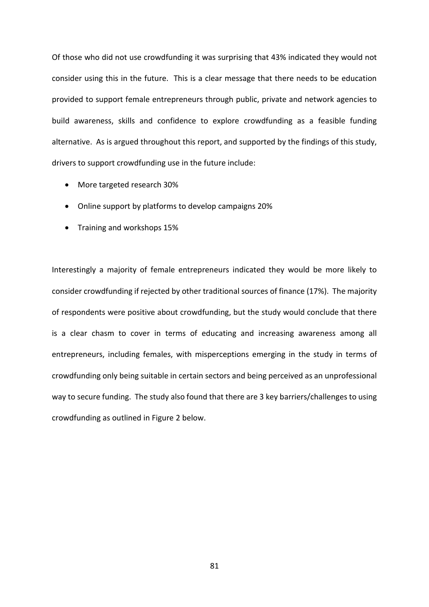Of those who did not use crowdfunding it was surprising that 43% indicated they would not consider using this in the future. This is a clear message that there needs to be education provided to support female entrepreneurs through public, private and network agencies to build awareness, skills and confidence to explore crowdfunding as a feasible funding alternative. As is argued throughout this report, and supported by the findings of this study, drivers to support crowdfunding use in the future include:

- More targeted research 30%
- Online support by platforms to develop campaigns 20%
- Training and workshops 15%

Interestingly a majority of female entrepreneurs indicated they would be more likely to consider crowdfunding if rejected by other traditional sources of finance (17%). The majority of respondents were positive about crowdfunding, but the study would conclude that there is a clear chasm to cover in terms of educating and increasing awareness among all entrepreneurs, including females, with misperceptions emerging in the study in terms of crowdfunding only being suitable in certain sectors and being perceived as an unprofessional way to secure funding. The study also found that there are 3 key barriers/challenges to using crowdfunding as outlined in Figure 2 below.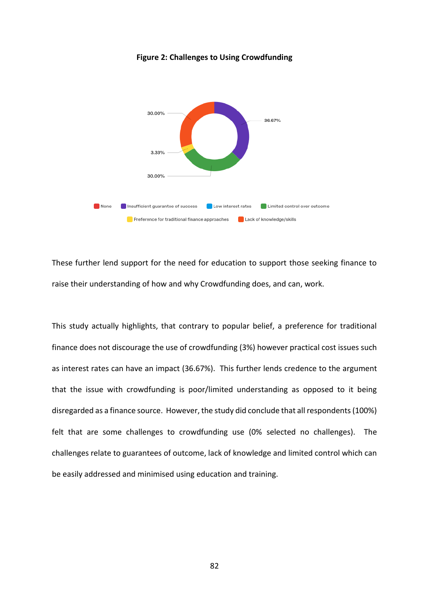

**Figure 2: Challenges to Using Crowdfunding**

These further lend support for the need for education to support those seeking finance to raise their understanding of how and why Crowdfunding does, and can, work.

This study actually highlights, that contrary to popular belief, a preference for traditional finance does not discourage the use of crowdfunding (3%) however practical cost issues such as interest rates can have an impact (36.67%). This further lends credence to the argument that the issue with crowdfunding is poor/limited understanding as opposed to it being disregarded as a finance source. However, the study did conclude that all respondents (100%) felt that are some challenges to crowdfunding use (0% selected no challenges). The challenges relate to guarantees of outcome, lack of knowledge and limited control which can be easily addressed and minimised using education and training.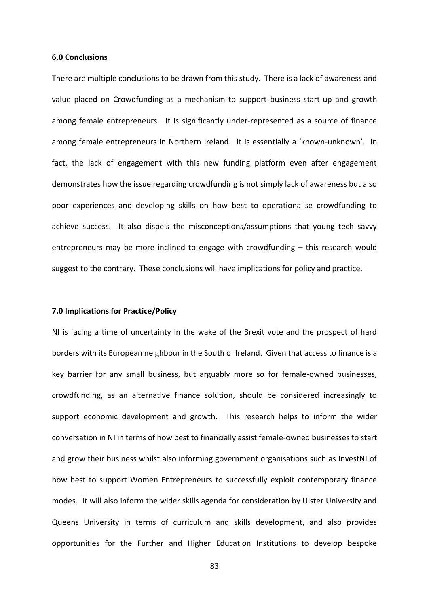# **6.0 Conclusions**

There are multiple conclusions to be drawn from this study. There is a lack of awareness and value placed on Crowdfunding as a mechanism to support business start-up and growth among female entrepreneurs. It is significantly under-represented as a source of finance among female entrepreneurs in Northern Ireland. It is essentially a 'known-unknown'. In fact, the lack of engagement with this new funding platform even after engagement demonstrates how the issue regarding crowdfunding is not simply lack of awareness but also poor experiences and developing skills on how best to operationalise crowdfunding to achieve success. It also dispels the misconceptions/assumptions that young tech savvy entrepreneurs may be more inclined to engage with crowdfunding – this research would suggest to the contrary. These conclusions will have implications for policy and practice.

# **7.0 Implications for Practice/Policy**

NI is facing a time of uncertainty in the wake of the Brexit vote and the prospect of hard borders with its European neighbour in the South of Ireland. Given that access to finance is a key barrier for any small business, but arguably more so for female-owned businesses, crowdfunding, as an alternative finance solution, should be considered increasingly to support economic development and growth. This research helps to inform the wider conversation in NI in terms of how best to financially assist female-owned businesses to start and grow their business whilst also informing government organisations such as InvestNI of how best to support Women Entrepreneurs to successfully exploit contemporary finance modes. It will also inform the wider skills agenda for consideration by Ulster University and Queens University in terms of curriculum and skills development, and also provides opportunities for the Further and Higher Education Institutions to develop bespoke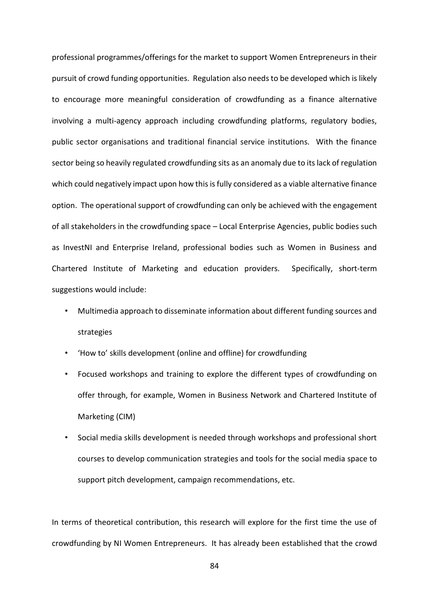professional programmes/offerings for the market to support Women Entrepreneurs in their pursuit of crowd funding opportunities. Regulation also needs to be developed which is likely to encourage more meaningful consideration of crowdfunding as a finance alternative involving a multi-agency approach including crowdfunding platforms, regulatory bodies, public sector organisations and traditional financial service institutions. With the finance sector being so heavily regulated crowdfunding sits as an anomaly due to its lack of regulation which could negatively impact upon how this is fully considered as a viable alternative finance option. The operational support of crowdfunding can only be achieved with the engagement of all stakeholders in the crowdfunding space – Local Enterprise Agencies, public bodies such as InvestNI and Enterprise Ireland, professional bodies such as Women in Business and Chartered Institute of Marketing and education providers. Specifically, short-term suggestions would include:

- Multimedia approach to disseminate information about different funding sources and strategies
- 'How to' skills development (online and offline) for crowdfunding
- Focused workshops and training to explore the different types of crowdfunding on offer through, for example, Women in Business Network and Chartered Institute of Marketing (CIM)
- Social media skills development is needed through workshops and professional short courses to develop communication strategies and tools for the social media space to support pitch development, campaign recommendations, etc.

In terms of theoretical contribution, this research will explore for the first time the use of crowdfunding by NI Women Entrepreneurs. It has already been established that the crowd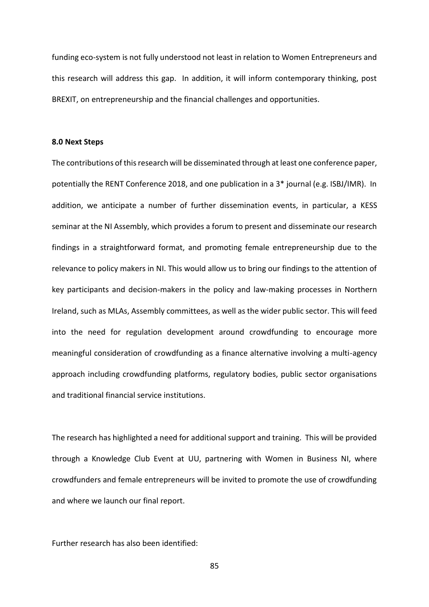funding eco-system is not fully understood not least in relation to Women Entrepreneurs and this research will address this gap. In addition, it will inform contemporary thinking, post BREXIT, on entrepreneurship and the financial challenges and opportunities.

# **8.0 Next Steps**

The contributions of this research will be disseminated through at least one conference paper, potentially the RENT Conference 2018, and one publication in a 3\* journal (e.g. ISBJ/IMR). In addition, we anticipate a number of further dissemination events, in particular, a KESS seminar at the NI Assembly, which provides a forum to present and disseminate our research findings in a straightforward format, and promoting female entrepreneurship due to the relevance to policy makers in NI. This would allow us to bring our findings to the attention of key participants and decision-makers in the policy and law-making processes in Northern Ireland, such as MLAs, Assembly committees, as well as the wider public sector. This will feed into the need for regulation development around crowdfunding to encourage more meaningful consideration of crowdfunding as a finance alternative involving a multi-agency approach including crowdfunding platforms, regulatory bodies, public sector organisations and traditional financial service institutions.

The research has highlighted a need for additional support and training. This will be provided through a Knowledge Club Event at UU, partnering with Women in Business NI, where crowdfunders and female entrepreneurs will be invited to promote the use of crowdfunding and where we launch our final report.

Further research has also been identified:

85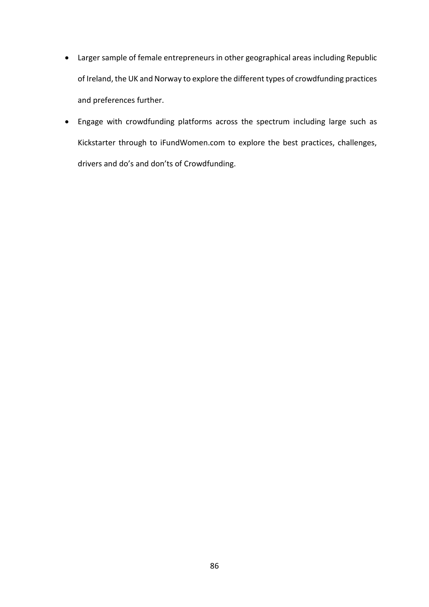- Larger sample of female entrepreneurs in other geographical areas including Republic of Ireland, the UK and Norway to explore the different types of crowdfunding practices and preferences further.
- Engage with crowdfunding platforms across the spectrum including large such as Kickstarter through to iFundWomen.com to explore the best practices, challenges, drivers and do's and don'ts of Crowdfunding.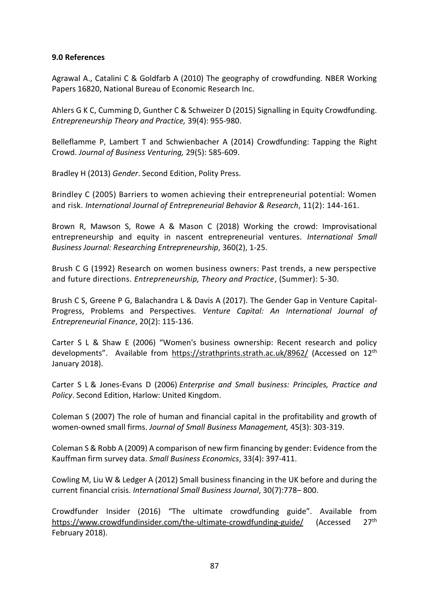# **9.0 References**

Agrawal A., Catalini C & Goldfarb A (2010) The geography of crowdfunding. NBER Working Papers 16820, National Bureau of Economic Research Inc.

Ahlers G K C, Cumming D, Gunther C & Schweizer D (2015) Signalling in Equity Crowdfunding. *Entrepreneurship Theory and Practice,* 39(4): 955-980.

Belleflamme P, Lambert T and Schwienbacher A (2014) Crowdfunding: Tapping the Right Crowd. *Journal of Business Venturing,* 29(5): 585-609.

Bradley H (2013) *Gender*. Second Edition, Polity Press.

Brindley C (2005) Barriers to women achieving their entrepreneurial potential: Women and risk. *International Journal of Entrepreneurial Behavior & Research*, 11(2): 144-161.

Brown R, Mawson S, Rowe A & Mason C (2018) Working the crowd: Improvisational entrepreneurship and equity in nascent entrepreneurial ventures. *International Small Business Journal: Researching Entrepreneurship*, 360(2), 1-25.

Brush C G (1992) Research on women business owners: Past trends, a new perspective and future directions. *Entrepreneurship, Theory and Practice*, (Summer): 5-30.

Brush C S, Greene P G, Balachandra L & Davis A (2017). The Gender Gap in Venture Capital-Progress, Problems and Perspectives. *Venture Capital: An International Journal of Entrepreneurial Finance*, 20(2): 115-136.

Carter S L & Shaw E (2006) "Women's business ownership: Recent research and policy developments". Available from<https://strathprints.strath.ac.uk/8962/> (Accessed on 12th January 2018).

Carter S L & Jones-Evans D (2006) *Enterprise and Small business: Principles, Practice and Policy*. Second Edition, Harlow: United Kingdom.

Coleman S (2007) The role of human and financial capital in the profitability and growth of women‐owned small firms. *Journal of Small Business Management,* 45(3): 303-319.

Coleman S & Robb A (2009) A comparison of new firm financing by gender: Evidence from the Kauffman firm survey data. *Small Business Economics*, 33(4): 397-411.

Cowling M, Liu W & Ledger A (2012) Small business financing in the UK before and during the current financial crisis. *International Small Business Journal*, 30(7):778– 800.

Crowdfunder Insider (2016) "The ultimate crowdfunding guide". Available from <https://www.crowdfundinsider.com/the-ultimate-crowdfunding-guide/> (Accessed 27<sup>th</sup> February 2018).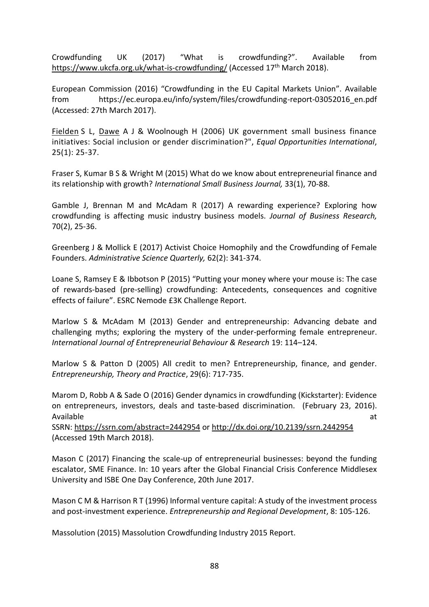Crowdfunding UK (2017) "What is crowdfunding?". Available from <https://www.ukcfa.org.uk/what-is-crowdfunding/> (Accessed 17<sup>th</sup> March 2018).

European Commission (2016) "Crowdfunding in the EU Capital Markets Union". Available from https://ec.europa.eu/info/system/files/crowdfunding-report-03052016\_en.pdf (Accessed: 27th March 2017).

[Fielden](https://www.emeraldinsight.com/author/Fielden%2C+Sandra+L) S L, [Dawe](https://www.emeraldinsight.com/author/Dawe%2C+Adel+J) A J & Woolnough H (2006) UK government small business finance initiatives: Social inclusion or gender discrimination?", *Equal Opportunities International*, 25(1): 25-37.

Fraser S, Kumar B S & Wright M (2015) What do we know about entrepreneurial finance and its relationship with growth? *International Small Business Journal,* 33(1), 70-88.

Gamble J, Brennan M and McAdam R (2017) A rewarding experience? Exploring how crowdfunding is affecting music industry business models. *Journal of Business Research,* 70(2), 25-36.

Greenberg J & Mollick E (2017) Activist Choice Homophily and the Crowdfunding of Female Founders. *Administrative Science Quarterly,* 62(2): 341-374.

Loane S, Ramsey E & Ibbotson P (2015) "Putting your money where your mouse is: The case of rewards-based (pre-selling) crowdfunding: Antecedents, consequences and cognitive effects of failure". ESRC Nemode £3K Challenge Report.

Marlow S & McAdam M (2013) Gender and entrepreneurship: Advancing debate and challenging myths; exploring the mystery of the under-performing female entrepreneur. *International Journal of Entrepreneurial Behaviour & Research* 19: 114–124.

Marlow S & Patton D (2005) All credit to men? Entrepreneurship, finance, and gender. *Entrepreneurship, Theory and Practice*, 29(6): 717-735.

Marom D, Robb A & Sade O (2016) Gender dynamics in crowdfunding (Kickstarter): Evidence on entrepreneurs, investors, deals and taste-based discrimination. (February 23, 2016). Available at the contract of the contract of the contract of the contract of the contract of the contract of the contract of the contract of the contract of the contract of the contract of the contract of the contract of t

SSRN: <https://ssrn.com/abstract=2442954> or [http://dx.doi.org/10.2139/ssrn.2442954](https://dx.doi.org/10.2139/ssrn.2442954) (Accessed 19th March 2018).

Mason C (2017) Financing the scale-up of entrepreneurial businesses: beyond the funding escalator, SME Finance. In: 10 years after the Global Financial Crisis Conference Middlesex University and ISBE One Day Conference, 20th June 2017.

Mason C M & Harrison R T (1996) Informal venture capital: A study of the investment process and post-investment experience. *Entrepreneurship and Regional Development*, 8: 105-126.

Massolution (2015) Massolution Crowdfunding Industry 2015 Report.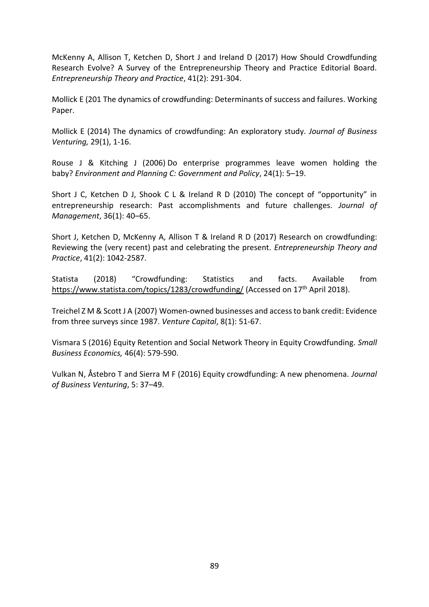McKenny A, Allison T, Ketchen D, Short J and Ireland D (2017) How Should Crowdfunding Research Evolve? A Survey of the Entrepreneurship Theory and Practice Editorial Board. *Entrepreneurship Theory and Practice*, 41(2): 291-304.

Mollick E (201 The dynamics of crowdfunding: Determinants of success and failures. Working Paper.

Mollick E (2014) The dynamics of crowdfunding: An exploratory study. *Journal of Business Venturing,* 29(1), 1-16.

Rouse J & Kitching J (2006) Do enterprise programmes leave women holding the baby? *Environment and Planning C: Government and Policy*, 24(1): 5–19.

Short J C, Ketchen D J, Shook C L & Ireland R D (2010) The concept of "opportunity" in entrepreneurship research: Past accomplishments and future challenges. *Journal of Management*, 36(1): 40–65.

Short J, Ketchen D, McKenny A, Allison T & Ireland R D (2017) Research on crowdfunding: Reviewing the (very recent) past and celebrating the present. *Entrepreneurship Theory and Practice*, 41(2): 1042-2587.

Statista (2018) "Crowdfunding: Statistics and facts. Available from <https://www.statista.com/topics/1283/crowdfunding/> (Accessed on 17<sup>th</sup> April 2018).

Treichel Z M & Scott J A (2007) Women-owned businesses and access to bank credit: Evidence from three surveys since 1987. *Venture Capital*, 8(1): 51-67.

Vismara S (2016) Equity Retention and Social Network Theory in Equity Crowdfunding. *Small Business Economics,* 46(4): 579-590.

Vulkan N, Åstebro T and Sierra M F (2016) Equity crowdfunding: A new phenomena. *Journal of Business Venturing*, 5: 37–49.